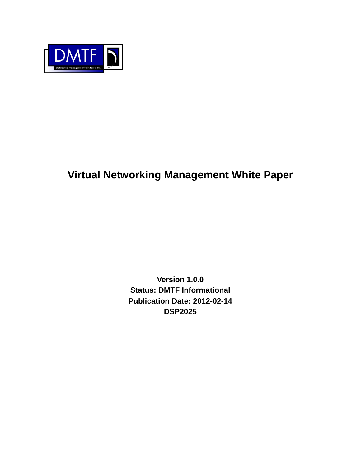

# **Virtual Networking Management White Paper**

**Version 1.0.0 Status: DMTF Informational Publication Date: 2012-02-14 DSP2025**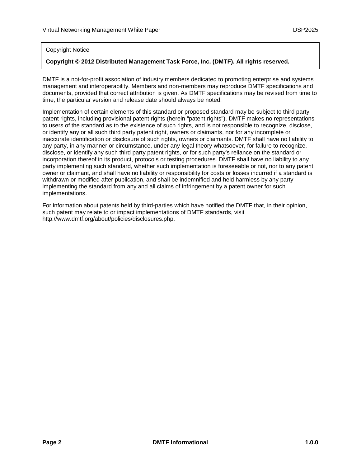#### Copyright Notice

#### **Copyright © 2012 Distributed Management Task Force, Inc. (DMTF). All rights reserved.**

DMTF is a not-for-profit association of industry members dedicated to promoting enterprise and systems management and interoperability. Members and non-members may reproduce DMTF specifications and documents, provided that correct attribution is given. As DMTF specifications may be revised from time to time, the particular version and release date should always be noted.

Implementation of certain elements of this standard or proposed standard may be subject to third party patent rights, including provisional patent rights (herein "patent rights"). DMTF makes no representations to users of the standard as to the existence of such rights, and is not responsible to recognize, disclose, or identify any or all such third party patent right, owners or claimants, nor for any incomplete or inaccurate identification or disclosure of such rights, owners or claimants. DMTF shall have no liability to any party, in any manner or circumstance, under any legal theory whatsoever, for failure to recognize, disclose, or identify any such third party patent rights, or for such party's reliance on the standard or incorporation thereof in its product, protocols or testing procedures. DMTF shall have no liability to any party implementing such standard, whether such implementation is foreseeable or not, nor to any patent owner or claimant, and shall have no liability or responsibility for costs or losses incurred if a standard is withdrawn or modified after publication, and shall be indemnified and held harmless by any party implementing the standard from any and all claims of infringement by a patent owner for such implementations.

For information about patents held by third-parties which have notified the DMTF that, in their opinion, such patent may relate to or impact implementations of DMTF standards, visit http://www.dmtf.org/about/policies/disclosures.php.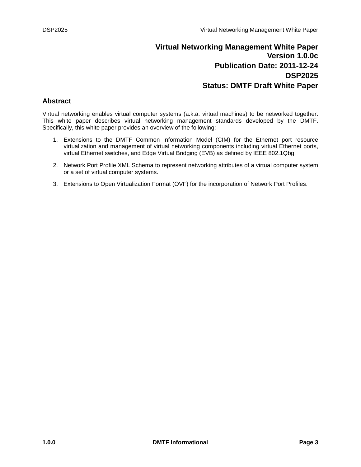# **Virtual Networking Management White Paper Version 1.0.0c Publication Date: 2011-12-24 DSP2025 Status: DMTF Draft White Paper**

## <span id="page-2-0"></span>**Abstract**

Virtual networking enables virtual computer systems (a.k.a. virtual machines) to be networked together. This white paper describes virtual networking management standards developed by the DMTF. Specifically, this white paper provides an overview of the following:

- 1. Extensions to the DMTF Common Information Model (CIM) for the Ethernet port resource virtualization and management of virtual networking components including virtual Ethernet ports, virtual Ethernet switches, and Edge Virtual Bridging (EVB) as defined by IEEE 802.1Qbg.
- 2. Network Port Profile XML Schema to represent networking attributes of a virtual computer system or a set of virtual computer systems.
- 3. Extensions to Open Virtualization Format (OVF) for the incorporation of Network Port Profiles.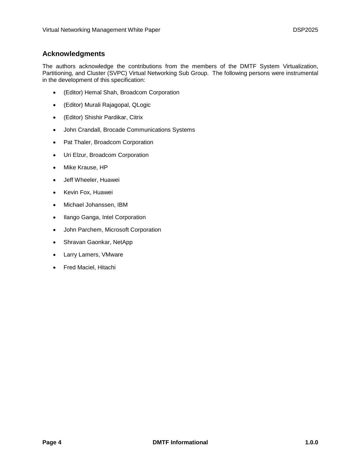## <span id="page-3-0"></span>**Acknowledgments**

The authors acknowledge the contributions from the members of the DMTF System Virtualization, Partitioning, and Cluster (SVPC) Virtual Networking Sub Group. The following persons were instrumental in the development of this specification:

- (Editor) Hemal Shah, Broadcom Corporation
- (Editor) Murali Rajagopal, QLogic
- (Editor) Shishir Pardikar, Citrix
- John Crandall, Brocade Communications Systems
- Pat Thaler, Broadcom Corporation
- Uri Elzur, Broadcom Corporation
- Mike Krause, HP
- Jeff Wheeler, Huawei
- Kevin Fox, Huawei
- Michael Johanssen, IBM
- Ilango Ganga, Intel Corporation
- John Parchem, Microsoft Corporation
- Shravan Gaonkar, NetApp
- Larry Lamers, VMware
- Fred Maciel, Hitachi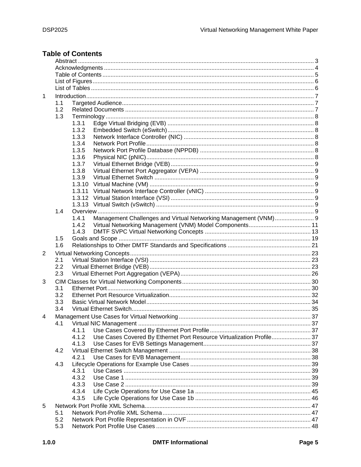# <span id="page-4-0"></span>**Table of Contents**

| $\mathbf 1$ |     |                                                                                |  |  |  |
|-------------|-----|--------------------------------------------------------------------------------|--|--|--|
|             | 1.1 |                                                                                |  |  |  |
|             | 1.2 |                                                                                |  |  |  |
|             | 1.3 |                                                                                |  |  |  |
|             |     | 1.3.1                                                                          |  |  |  |
|             |     | 1.3.2                                                                          |  |  |  |
|             |     | 1.3.3                                                                          |  |  |  |
|             |     |                                                                                |  |  |  |
|             |     | 1.3.4                                                                          |  |  |  |
|             |     | 1.3.5                                                                          |  |  |  |
|             |     | 1.3.6                                                                          |  |  |  |
|             |     | 1.3.7                                                                          |  |  |  |
|             |     | 1.3.8                                                                          |  |  |  |
|             |     | 1.3.9                                                                          |  |  |  |
|             |     | 1.3.10                                                                         |  |  |  |
|             |     | 1.3.11                                                                         |  |  |  |
|             |     | 1.3.12                                                                         |  |  |  |
|             |     |                                                                                |  |  |  |
|             | 1.4 |                                                                                |  |  |  |
|             |     | Management Challenges and Virtual Networking Management (VNM) 9<br>1.4.1       |  |  |  |
|             |     | 1.4.2                                                                          |  |  |  |
|             |     | 1.4.3                                                                          |  |  |  |
|             | 1.5 |                                                                                |  |  |  |
|             | 1.6 |                                                                                |  |  |  |
| 2           |     |                                                                                |  |  |  |
|             | 2.1 |                                                                                |  |  |  |
|             | 2.2 |                                                                                |  |  |  |
|             | 2.3 |                                                                                |  |  |  |
|             |     |                                                                                |  |  |  |
| 3           |     |                                                                                |  |  |  |
|             | 3.1 |                                                                                |  |  |  |
|             | 3.2 |                                                                                |  |  |  |
|             | 3.3 |                                                                                |  |  |  |
|             | 3.4 |                                                                                |  |  |  |
| 4           |     |                                                                                |  |  |  |
|             | 4.1 |                                                                                |  |  |  |
|             |     | 4.1.1                                                                          |  |  |  |
|             |     | Use Cases Covered By Ethernet Port Resource Virtualization Profile 37<br>4.1.2 |  |  |  |
|             |     | 4.1.3                                                                          |  |  |  |
|             | 4.2 |                                                                                |  |  |  |
|             |     | 4.2.1                                                                          |  |  |  |
|             | 4.3 |                                                                                |  |  |  |
|             |     | 4.3.1                                                                          |  |  |  |
|             |     | 4.3.2                                                                          |  |  |  |
|             |     | 4.3.3                                                                          |  |  |  |
|             |     | 4.3.4                                                                          |  |  |  |
|             |     | 4.3.5                                                                          |  |  |  |
|             |     |                                                                                |  |  |  |
| 5           |     |                                                                                |  |  |  |
|             | 5.1 |                                                                                |  |  |  |
|             | 5.2 |                                                                                |  |  |  |
|             | 5.3 |                                                                                |  |  |  |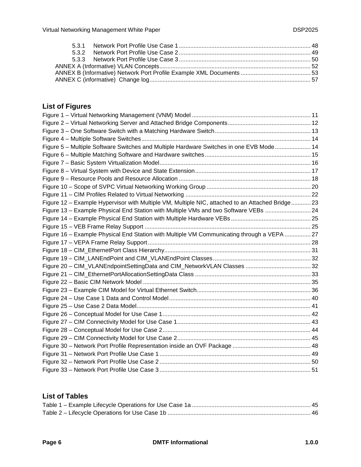# <span id="page-5-0"></span>**List of Figures**

| Figure 5 - Multiple Software Switches and Multiple Hardware Switches in one EVB Mode 14          |  |
|--------------------------------------------------------------------------------------------------|--|
|                                                                                                  |  |
|                                                                                                  |  |
|                                                                                                  |  |
|                                                                                                  |  |
|                                                                                                  |  |
|                                                                                                  |  |
| Figure 12 - Example Hypervisor with Multiple VM, Multiple NIC, attached to an Attached Bridge 23 |  |
| Figure 13 - Example Physical End Station with Multiple VMs and two Software VEBs  24             |  |
|                                                                                                  |  |
|                                                                                                  |  |
| Figure 16 - Example Physical End Station with Multiple VM Communicating through a VEPA  27       |  |
|                                                                                                  |  |
|                                                                                                  |  |
|                                                                                                  |  |
|                                                                                                  |  |
|                                                                                                  |  |
|                                                                                                  |  |
|                                                                                                  |  |
|                                                                                                  |  |
|                                                                                                  |  |
|                                                                                                  |  |
|                                                                                                  |  |
|                                                                                                  |  |
|                                                                                                  |  |
|                                                                                                  |  |
|                                                                                                  |  |
|                                                                                                  |  |
|                                                                                                  |  |

## <span id="page-5-1"></span>**List of Tables**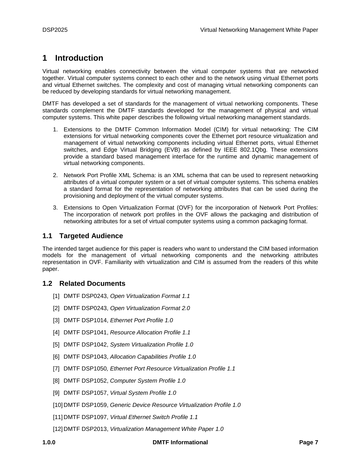# <span id="page-6-0"></span>**1 Introduction**

Virtual networking enables connectivity between the virtual computer systems that are networked together. Virtual computer systems connect to each other and to the network using virtual Ethernet ports and virtual Ethernet switches. The complexity and cost of managing virtual networking components can be reduced by developing standards for virtual networking management.

DMTF has developed a set of standards for the management of virtual networking components. These standards complement the DMTF standards developed for the management of physical and virtual computer systems. This white paper describes the following virtual networking management standards.

- 1. Extensions to the DMTF Common Information Model (CIM) for virtual networking: The CIM extensions for virtual networking components cover the Ethernet port resource virtualization and management of virtual networking components including virtual Ethernet ports, virtual Ethernet switches, and Edge Virtual Bridging (EVB) as defined by IEEE 802.1Qbg. These extensions provide a standard based management interface for the runtime and dynamic management of virtual networking components.
- 2. Network Port Profile XML Schema: is an XML schema that can be used to represent networking attributes of a virtual computer system or a set of virtual computer systems. This schema enables a standard format for the representation of networking attributes that can be used during the provisioning and deployment of the virtual computer systems.
- 3. Extensions to Open Virtualization Format (OVF) for the incorporation of Network Port Profiles: The incorporation of network port profiles in the OVF allows the packaging and distribution of networking attributes for a set of virtual computer systems using a common packaging format.

## <span id="page-6-1"></span>**1.1 Targeted Audience**

The intended target audience for this paper is readers who want to understand the CIM based information models for the management of virtual networking components and the networking attributes representation in OVF. Familiarity with virtualization and CIM is assumed from the readers of this white paper.

## <span id="page-6-2"></span>**1.2 Related Documents**

- [1] DMTF DSP0243, *Open Virtualization Format 1.1*
- [2] DMTF DSP0243, *Open Virtualization Format 2.0*
- [3] DMTF DSP1014, *Ethernet Port Profile 1.0*
- [4] DMTF [DSP1041,](http://www.dmtf.org/standards/published_documents/DSP1041.pdf) *Resource Allocation Profile 1.1*
- [5] DMTF [DSP1042,](http://www.dmtf.org/standards/published_documents/DSP1042.pdf) *System Virtualization Profile 1.0*
- [6] DMTF [DSP1043,](http://www.dmtf.org/standards/published_documents/DSP1043.pdf) *Allocation Capabilities Profile 1.0*
- [7] DMTF DSP1050*, Ethernet Port Resource Virtualization Profile 1.1*
- [8] DMTF [DSP1052,](http://www.dmtf.org/standards/published_documents/DSP1052.pdf) *Computer System Profile 1.0*
- [9] DMTF [DSP1057,](http://www.dmtf.org/apps/org/workgroup/redundancy/download.php/22157/DMTF-Virtual_System_Profile_0_7_5_a.pdf) *Virtual System Profile 1.0*
- [10] DMTF [DSP1059,](http://www.dmtf.org/apps/org/workgroup/redundancy/download.php/21449/Generic_Device_Resource_Virtualization_Profile-0.5.doc) *Generic Device Resource Virtualization Profile 1.0*
- [11] DMTF DSP1097, *Virtual Ethernet Switch Profile 1.1*
- [12] DMTF [DSP2013,](http://www.dmtf.org/apps/org/workgroup/redundancy/download.php/21449/Generic_Device_Resource_Virtualization_Profile-0.5.doc) *Virtualization Management White Paper 1.0*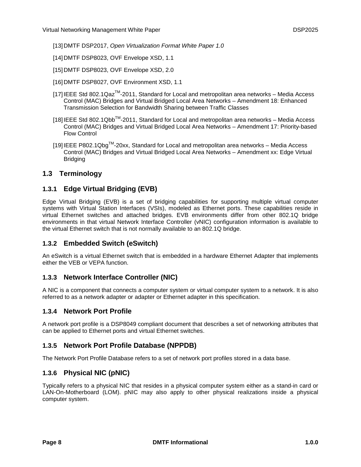[13] DMTF [DSP2017,](http://www.dmtf.org/apps/org/workgroup/redundancy/download.php/21449/Generic_Device_Resource_Virtualization_Profile-0.5.doc) *Open Virtualization Format White Paper 1.0*

- [14] DMTF DSP8023, OVF Envelope XSD, 1.1
- [15] DMTF DSP8023, OVF Envelope XSD, 2.0
- [16] DMTF DSP8027, OVF Environment XSD, 1.1
- [17] IEEE Std 802.1Qaz™-2011, Standard for Local and metropolitan area networks Media Access Control (MAC) Bridges and Virtual Bridged Local Area Networks – Amendment 18: Enhanced Transmission Selection for Bandwidth Sharing between Traffic Classes
- $[18]$  IEEE Std 802.1Qbb<sup>TM</sup>-2011, Standard for Local and metropolitan area networks Media Access Control (MAC) Bridges and Virtual Bridged Local Area Networks – Amendment 17: Priority-based Flow Control
- [19] IEEE P802.1Qbg<sup>™</sup>-20xx, Standard for Local and metropolitan area networks Media Access Control (MAC) Bridges and Virtual Bridged Local Area Networks – Amendment xx: Edge Virtual **Bridging**

## <span id="page-7-1"></span><span id="page-7-0"></span>**1.3 Terminology**

## **1.3.1 Edge Virtual Bridging (EVB)**

Edge Virtual Bridging (EVB) is a set of bridging capabilities for supporting multiple virtual computer systems with Virtual Station Interfaces (VSIs), modeled as Ethernet ports. These capabilities reside in virtual Ethernet switches and attached bridges. EVB environments differ from other 802.1Q bridge environments in that virtual Network Interface Controller (vNIC) configuration information is available to the virtual Ethernet switch that is not normally available to an 802.1Q bridge.

## <span id="page-7-2"></span>**1.3.2 Embedded Switch (eSwitch)**

An eSwitch is a virtual Ethernet switch that is embedded in a hardware Ethernet Adapter that implements either the VEB or VEPA function.

#### <span id="page-7-3"></span>**1.3.3 Network Interface Controller (NIC)**

A NIC is a component that connects a computer system or virtual computer system to a network. It is also referred to as a network adapter or adapter or Ethernet adapter in this specification.

#### <span id="page-7-4"></span>**1.3.4 Network Port Profile**

A network port profile is a DSP8049 compliant document that describes a set of networking attributes that can be applied to Ethernet ports and virtual Ethernet switches.

## <span id="page-7-5"></span>**1.3.5 Network Port Profile Database (NPPDB)**

<span id="page-7-6"></span>The Network Port Profile Database refers to a set of network port profiles stored in a data base.

## **1.3.6 Physical NIC (pNIC)**

Typically refers to a physical NIC that resides in a physical computer system either as a stand-in card or LAN-On-Motherboard (LOM). pNIC may also apply to other physical realizations inside a physical computer system.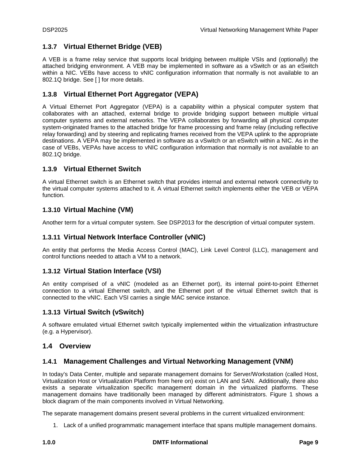## <span id="page-8-0"></span>**1.3.7 Virtual Ethernet Bridge (VEB)**

A VEB is a frame relay service that supports local bridging between multiple VSIs and (optionally) the attached bridging environment. A VEB may be implemented in software as a vSwitch or as an eSwitch within a NIC. VEBs have access to vNIC configuration information that normally is not available to an 802.1Q bridge. See [ ] for more details.

## <span id="page-8-1"></span>**1.3.8 Virtual Ethernet Port Aggregator (VEPA)**

A Virtual Ethernet Port Aggregator (VEPA) is a capability within a physical computer system that collaborates with an attached, external bridge to provide bridging support between multiple virtual computer systems and external networks. The VEPA collaborates by forwarding all physical computer system-originated frames to the attached bridge for frame processing and frame relay (including reflective relay forwarding) and by steering and replicating frames received from the VEPA uplink to the appropriate destinations. A VEPA may be implemented in software as a vSwitch or an eSwitch within a NIC. As in the case of VEBs, VEPAs have access to vNIC configuration information that normally is not available to an 802.1Q bridge.

## <span id="page-8-2"></span>**1.3.9 Virtual Ethernet Switch**

A virtual Ethernet switch is an Ethernet switch that provides internal and external network connectivity to the virtual computer systems attached to it. A virtual Ethernet switch implements either the VEB or VEPA function.

## <span id="page-8-3"></span>**1.3.10 Virtual Machine (VM)**

<span id="page-8-4"></span>Another term for a virtual computer system. See DSP2013 for the description of virtual computer system.

## **1.3.11 Virtual Network Interface Controller (vNIC)**

An entity that performs the Media Access Control (MAC), Link Level Control (LLC), management and control functions needed to attach a VM to a network.

## <span id="page-8-5"></span>**1.3.12 Virtual Station Interface (VSI)**

An entity comprised of a vNIC (modeled as an Ethernet port), its internal point-to-point Ethernet connection to a virtual Ethernet switch, and the Ethernet port of the virtual Ethernet switch that is connected to the vNIC. Each VSI carries a single MAC service instance.

## <span id="page-8-6"></span>**1.3.13 Virtual Switch (vSwitch)**

A software emulated virtual Ethernet switch typically implemented within the virtualization infrastructure (e.g. a Hypervisor).

## <span id="page-8-8"></span><span id="page-8-7"></span>**1.4 Overview**

## **1.4.1 Management Challenges and Virtual Networking Management (VNM)**

In today's Data Center, multiple and separate management domains for Server/Workstation (called Host, Virtualization Host or Virtualization Platform from here on) exist on LAN and SAN. Additionally, there also exists a separate virtualization specific management domain in the virtualized platforms. These management domains have traditionally been managed by different administrators. [Figure 1](#page-10-1) shows a block diagram of the main components involved in Virtual Networking.

The separate management domains present several problems in the current virtualized environment:

1. Lack of a unified programmatic management interface that spans multiple management domains.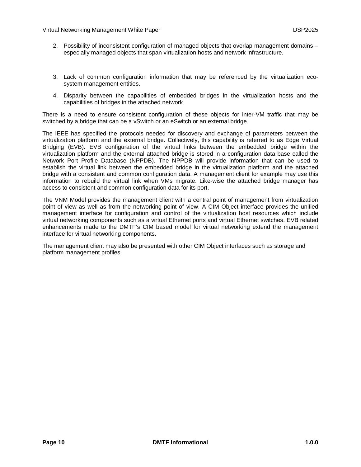- 2. Possibility of inconsistent configuration of managed objects that overlap management domains especially managed objects that span virtualization hosts and network infrastructure.
- 3. Lack of common configuration information that may be referenced by the virtualization ecosystem management entities.
- 4. Disparity between the capabilities of embedded bridges in the virtualization hosts and the capabilities of bridges in the attached network.

There is a need to ensure consistent configuration of these objects for inter-VM traffic that may be switched by a bridge that can be a vSwitch or an eSwitch or an external bridge.

The IEEE has specified the protocols needed for discovery and exchange of parameters between the virtualization platform and the external bridge. Collectively, this capability is referred to as Edge Virtual Bridging (EVB). EVB configuration of the virtual links between the embedded bridge within the virtualization platform and the external attached bridge is stored in a configuration data base called the Network Port Profile Database (NPPDB). The NPPDB will provide information that can be used to establish the virtual link between the embedded bridge in the virtualization platform and the attached bridge with a consistent and common configuration data. A management client for example may use this information to rebuild the virtual link when VMs migrate. Like-wise the attached bridge manager has access to consistent and common configuration data for its port.

The VNM Model provides the management client with a central point of management from virtualization point of view as well as from the networking point of view. A CIM Object interface provides the unified management interface for configuration and control of the virtualization host resources which include virtual networking components such as a virtual Ethernet ports and virtual Ethernet switches. EVB related enhancements made to the DMTF's CIM based model for virtual networking extend the management interface for virtual networking components.

The management client may also be presented with other CIM Object interfaces such as storage and platform management profiles.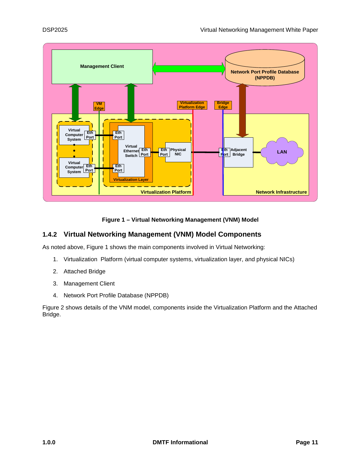

**Figure 1 – Virtual Networking Management (VNM) Model**

## <span id="page-10-1"></span><span id="page-10-0"></span>**1.4.2 Virtual Networking Management (VNM) Model Components**

As noted above, [Figure 1](#page-10-1) shows the main components involved in Virtual Networking:

- 1. Virtualization Platform (virtual computer systems, virtualization layer, and physical NICs)
- 2. Attached Bridge
- 3. Management Client
- 4. Network Port Profile Database (NPPDB)

[Figure 2](#page-11-0) shows details of the VNM model, components inside the Virtualization Platform and the Attached Bridge.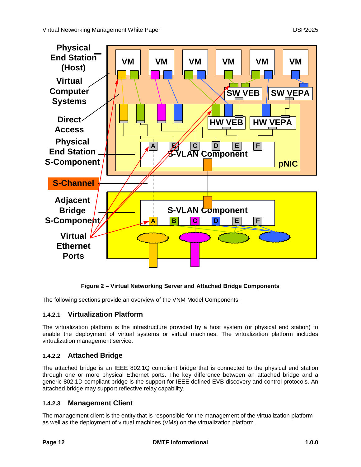

## **Figure 2 – Virtual Networking Server and Attached Bridge Components**

<span id="page-11-0"></span>The following sections provide an overview of the VNM Model Components.

## **1.4.2.1 Virtualization Platform**

The virtualization platform is the infrastructure provided by a host system (or physical end station) to enable the deployment of virtual systems or virtual machines. The virtualization platform includes virtualization management service.

## **1.4.2.2 Attached Bridge**

The attached bridge is an IEEE 802.1Q compliant bridge that is connected to the physical end station through one or more physical Ethernet ports. The key difference between an attached bridge and a generic 802.1D compliant bridge is the support for IEEE defined EVB discovery and control protocols. An attached bridge may support reflective relay capability.

## **1.4.2.3 Management Client**

The management client is the entity that is responsible for the management of the virtualization platform as well as the deployment of virtual machines (VMs) on the virtualization platform.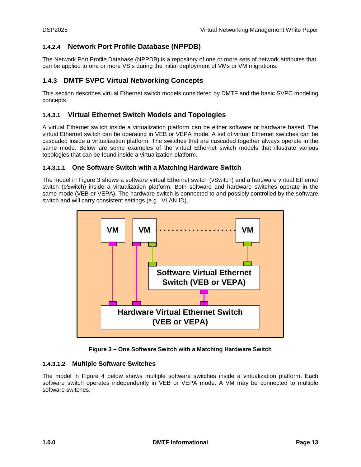## **1.4.2.4 Network Port Profile Database (NPPDB)**

The Network Port Profile Database (NPPDB) is a repository of one or more sets of network attributes that can be applied to one or more VSIs during the initial deployment of VMs or VM migrations.

## <span id="page-12-0"></span>**1.4.3 DMTF SVPC Virtual Networking Concepts**

This section describes virtual Ethernet switch models considered by DMTF and the basic SVPC modeling concepts.

## **1.4.3.1 Virtual Ethernet Switch Models and Topologies**

A virtual Ethernet switch inside a virtualization platform can be either software or hardware based. The virtual Ethernet switch can be operating in VEB or VEPA mode. A set of virtual Ethernet switches can be cascaded inside a virtualization platform. The switches that are cascaded together always operate in the same mode. Below are some examples of the virtual Ethernet switch models that illustrate various topologies that can be found inside a virtualization platform.

## **1.4.3.1.1 One Software Switch with a Matching Hardware Switch**

The model in [Figure 3](#page-12-1) shows a software virtual Ethernet switch (vSwitch) and a hardware virtual Ethernet switch (eSwitch) inside a virtualization platform. Both software and hardware switches operate in the same mode (VEB or VEPA). The hardware switch is connected to and possibly controlled by the software switch and will carry consistent settings (e.g., VLAN ID).



**Figure 3 – One Software Switch with a Matching Hardware Switch**

## <span id="page-12-1"></span>**1.4.3.1.2 Multiple Software Switches**

The model in [Figure 4](#page-13-0) below shows multiple software switches inside a virtualization platform. Each software switch operates independently in VEB or VEPA mode. A VM may be connected to multiple software switches.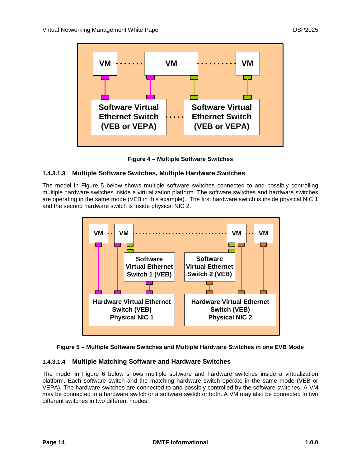

**Figure 4 – Multiple Software Switches**

## <span id="page-13-0"></span>**1.4.3.1.3 Multiple Software Switches, Multiple Hardware Switches**

The model in [Figure 5](#page-13-1) below shows multiple software switches connected to and possibly controlling multiple hardware switches inside a virtualization platform. The software switches and hardware switches are operating in the same mode (VEB in this example). The first hardware switch is inside physical NIC 1 and the second hardware switch is inside physical NIC 2.



<span id="page-13-1"></span>

## **1.4.3.1.4 Multiple Matching Software and Hardware Switches**

The model in [Figure 6](#page-14-0) below shows multiple software and hardware switches inside a virtualization platform. Each software switch and the matching hardware switch operate in the same mode (VEB or VEPA). The hardware switches are connected to and possibly controlled by the software switches. A VM may be connected to a hardware switch or a software switch or both. A VM may also be connected to two different switches in two different modes.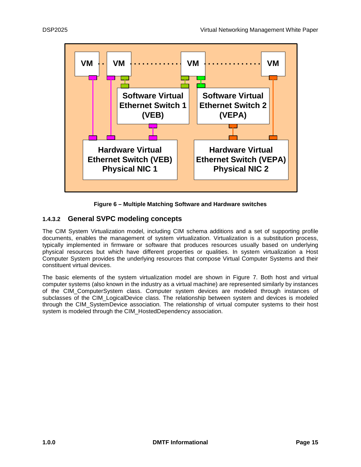

**Figure 6 – Multiple Matching Software and Hardware switches**

## <span id="page-14-0"></span>**1.4.3.2 General SVPC modeling concepts**

The CIM System Virtualization model, including CIM schema additions and a set of supporting profile documents, enables the management of system virtualization. Virtualization is a substitution process, typically implemented in firmware or software that produces resources usually based on underlying physical resources but which have different properties or qualities. In system virtualization a Host Computer System provides the underlying resources that compose Virtual Computer Systems and their constituent virtual devices.

The basic elements of the system virtualization model are shown in [Figure 7.](#page-15-0) Both host and virtual computer systems (also known in the industry as a virtual machine) are represented similarly by instances of the CIM\_ComputerSystem class. Computer system devices are modeled through instances of subclasses of the CIM\_LogicalDevice class. The relationship between system and devices is modeled through the CIM\_SystemDevice association. The relationship of virtual computer systems to their host system is modeled through the CIM\_HostedDependency association.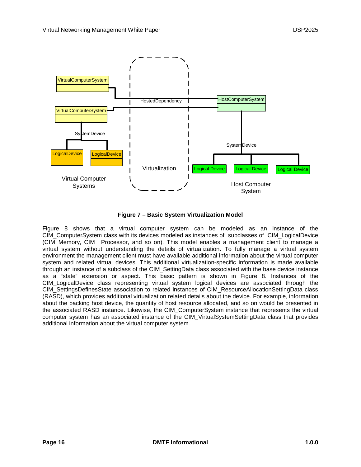

**Figure 7 – Basic System Virtualization Model**

<span id="page-15-0"></span>[Figure 8](#page-16-0) shows that a virtual computer system can be modeled as an instance of the CIM\_ComputerSystem class with its devices modeled as instances of subclasses of CIM\_LogicalDevice (CIM\_Memory, CIM\_ Processor, and so on). This model enables a management client to manage a virtual system without understanding the details of virtualization. To fully manage a virtual system environment the management client must have available additional information about the virtual computer system and related virtual devices. This additional virtualization-specific information is made available through an instance of a subclass of the CIM\_SettingData class associated with the base device instance as a "state" extension or aspect. This basic pattern is shown in [Figure 8.](#page-16-0) Instances of the CIM\_LogicalDevice class representing virtual system logical devices are associated through the CIM\_SettingsDefinesState association to related instances of CIM\_ResourceAllocationSettingData class (RASD), which provides additional virtualization related details about the device. For example, information about the backing host device, the quantity of host resource allocated, and so on would be presented in the associated RASD instance. Likewise, the CIM\_ComputerSystem instance that represents the virtual computer system has an associated instance of the CIM\_VirtualSystemSettingData class that provides additional information about the virtual computer system.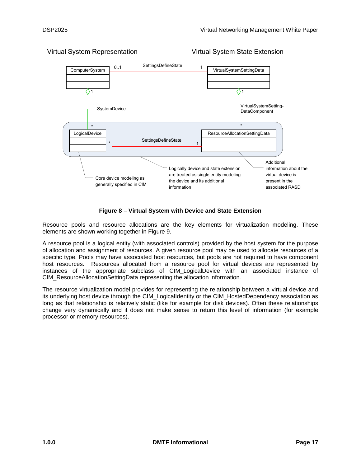

Virtual System Representation Virtual System State Extension

## **Figure 8 – Virtual System with Device and State Extension**

<span id="page-16-0"></span>Resource pools and resource allocations are the key elements for virtualization modeling. These elements are shown working together in [Figure 9.](#page-17-0)

A resource pool is a logical entity (with associated controls) provided by the host system for the purpose of allocation and assignment of resources. A given resource pool may be used to allocate resources of a specific type. Pools may have associated host resources, but pools are not required to have component host resources. Resources allocated from a resource pool for virtual devices are represented by instances of the appropriate subclass of CIM\_LogicalDevice with an associated instance of CIM\_ResourceAllocationSettingData representing the allocation information.

The resource virtualization model provides for representing the relationship between a virtual device and its underlying host device through the CIM\_LogicalIdentity or the CIM\_HostedDependency association as long as that relationship is relatively static (like for example for disk devices). Often these relationships change very dynamically and it does not make sense to return this level of information (for example processor or memory resources).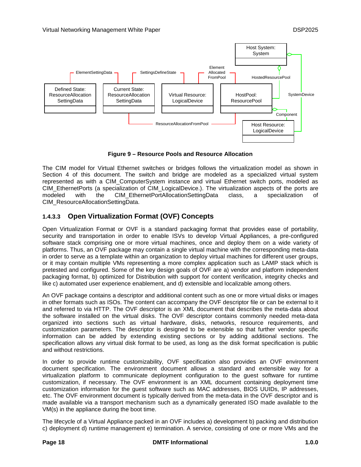

**Figure 9 – Resource Pools and Resource Allocation**

<span id="page-17-0"></span>The CIM model for Virtual Ethernet switches or bridges follows the virtualization model as shown in Section [4](#page-28-0) of this document. The switch and bridge are modeled as a specialized virtual system represented as with a CIM\_ComputerSystem instance and virtual Ethernet switch ports, modeled as CIM\_EthernetPorts (a specialization of CIM\_LogicalDevice.). The virtualization aspects of the ports are modeled with the CIM\_EthernetPortAllocationSettingData class, a specialization of CIM\_ResourceAllocationSettingData.

## **1.4.3.3 Open Virtualization Format (OVF) Concepts**

Open Virtualization Format or OVF is a standard packaging format that provides ease of portability, security and transportation in order to enable ISVs to develop Virtual Appliances, a pre-configured software stack comprising one or more virtual machines, once and deploy them on a wide variety of platforms. Thus, an OVF package may contain a single virtual machine with the corresponding meta-data in order to serve as a template within an organization to deploy virtual machines for different user groups, or it may contain multiple VMs representing a more complex application such as LAMP stack which is pretested and configured. Some of the key design goals of OVF are a) vendor and platform independent packaging format, b) optimized for Distribution with support for content verification, integrity checks and like c) automated user experience enablement, and d) extensible and localizable among others.

An OVF package contains a descriptor and additional content such as one or more virtual disks or images in other formats such as ISOs. The content can accompany the OVF descriptor file or can be external to it and referred to via HTTP. The OVF descriptor is an XML document that describes the meta-data about the software installed on the virtual disks. The OVF descriptor contains commonly needed meta-data organized into sections such as virtual hardware, disks, networks, resource requirements, and customization parameters. The descriptor is designed to be extensible so that further vendor specific information can be added by extending existing sections or by adding additional sections. The specification allows any virtual disk format to be used, as long as the disk format specification is public and without restrictions.

In order to provide runtime customizability, OVF specification also provides an OVF environment document specification. The environment document allows a standard and extensible way for a virtualization platform to communicate deployment configuration to the guest software for runtime customization, if necessary. The OVF environment is an XML document containing deployment time customization information for the guest software such as MAC addresses, BIOS UUIDs, IP addresses, etc. The OVF environment document is typically derived from the meta-data in the OVF descriptor and is made available via a transport mechanism such as a dynamically generated ISO made available to the VM(s) in the appliance during the boot time.

The lifecycle of a Virtual Appliance packed in an OVF includes a) development b) packing and distribution c) deployment d) runtime management e) termination. A service, consisting of one or more VMs and the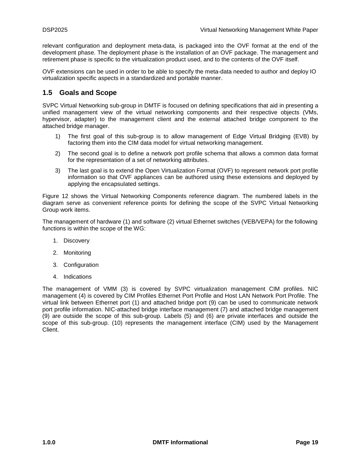relevant configuration and deployment meta-data, is packaged into the OVF format at the end of the development phase. The deployment phase is the installation of an OVF package. The management and retirement phase is specific to the virtualization product used, and to the contents of the OVF itself.

OVF extensions can be used in order to be able to specify the meta-data needed to author and deploy IO virtualization specific aspects in a standardized and portable manner.

## <span id="page-18-0"></span>**1.5 Goals and Scope**

SVPC Virtual Networking sub-group in DMTF is focused on defining specifications that aid in presenting a unified management view of the virtual networking components and their respective objects (VMs, hypervisor, adapter) to the management client and the external attached bridge component to the attached bridge manager.

- 1) The first goal of this sub-group is to allow management of Edge Virtual Bridging (EVB) by factoring them into the CIM data model for virtual networking management.
- 2) The second goal is to define a network port profile schema that allows a common data format for the representation of a set of networking attributes.
- 3) The last goal is to extend the Open Virtualization Format (OVF) to represent network port profile information so that OVF appliances can be authored using these extensions and deployed by applying the encapsulated settings.

[Figure 12](#page-19-0) shows the Virtual Networking Components reference diagram. The numbered labels in the diagram serve as convenient reference points for defining the scope of the SVPC Virtual Networking Group work items.

The management of hardware (1) and software (2) virtual Ethernet switches (VEB/VEPA) for the following functions is within the scope of the WG:

- 1. Discovery
- 2. Monitoring
- 3. Configuration
- 4. Indications

The management of VMM (3) is covered by SVPC virtualization management CIM profiles. NIC management (4) is covered by CIM Profiles Ethernet Port Profile and Host LAN Network Port Profile. The virtual link between Ethernet port (1) and attached bridge port (9) can be used to communicate network port profile information. NIC-attached bridge interface management (7) and attached bridge management (9) are outside the scope of this sub-group. Labels (5) and (6) are private interfaces and outside the scope of this sub-group. (10) represents the management interface (CIM) used by the Management Client.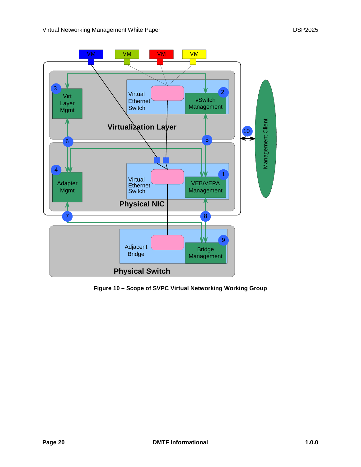

<span id="page-19-0"></span>**Figure 10 – Scope of SVPC Virtual Networking Working Group**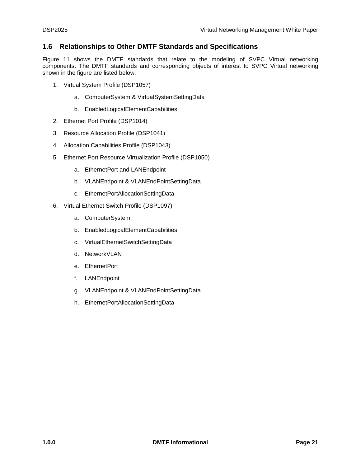## <span id="page-20-0"></span>**1.6 Relationships to Other DMTF Standards and Specifications**

[Figure 11](#page-21-0) shows the DMTF standards that relate to the modeling of SVPC Virtual networking components. The DMTF standards and corresponding objects of interest to SVPC Virtual networking shown in the figure are listed below:

- 1. Virtual System Profile (DSP1057)
	- a. ComputerSystem & VirtualSystemSettingData
	- b. EnabledLogicalElementCapabilities
- 2. Ethernet Port Profile (DSP1014)
- 3. Resource Allocation Profile (DSP1041)
- 4. Allocation Capabilities Profile (DSP1043)
- 5. Ethernet Port Resource Virtualization Profile (DSP1050)
	- a. EthernetPort and LANEndpoint
	- b. VLANEndpoint & VLANEndPointSettingData
	- c. EthernetPortAllocationSettingData
- 6. Virtual Ethernet Switch Profile (DSP1097)
	- a. ComputerSystem
	- b. EnabledLogicalElementCapabilities
	- c. VirtualEthernetSwitchSettingData
	- d. NetworkVLAN
	- e. EthernetPort
	- f. LANEndpoint
	- g. VLANEndpoint & VLANEndPointSettingData
	- h. EthernetPortAllocationSettingData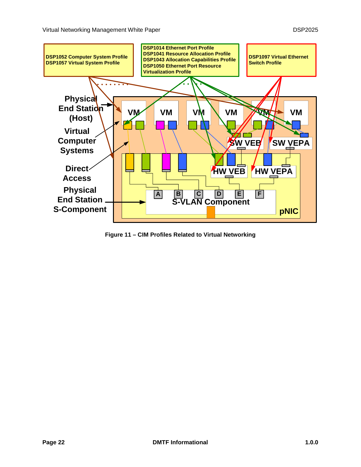

<span id="page-21-0"></span>**Figure 11 – CIM Profiles Related to Virtual Networking**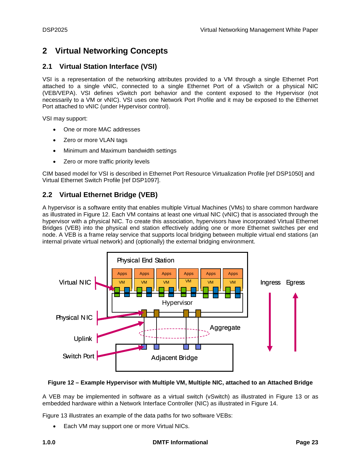# <span id="page-22-0"></span>**2 Virtual Networking Concepts**

## <span id="page-22-1"></span>**2.1 Virtual Station Interface (VSI)**

VSI is a representation of the networking attributes provided to a VM through a single Ethernet Port attached to a single vNIC, connected to a single Ethernet Port of a vSwitch or a physical NIC (VEB/VEPA). VSI defines vSwitch port behavior and the content exposed to the Hypervisor (not necessarily to a VM or vNIC). VSI uses one Network Port Profile and it may be exposed to the Ethernet Port attached to vNIC (under Hypervisor control).

VSI may support:

- One or more MAC addresses
- Zero or more VLAN tags
- Minimum and Maximum bandwidth settings
- Zero or more traffic priority levels

CIM based model for VSI is described in Ethernet Port Resource Virtualization Profile [ref DSP1050] and Virtual Ethernet Switch Profile [ref DSP1097].

## <span id="page-22-2"></span>**2.2 Virtual Ethernet Bridge (VEB)**

A hypervisor is a software entity that enables multiple Virtual Machines (VMs) to share common hardware as illustrated in [Figure 12.](#page-22-3) Each VM contains at least one virtual NIC (vNIC) that is associated through the hypervisor with a physical NIC. To create this association, hypervisors have incorporated Virtual Ethernet Bridges (VEB) into the physical end station effectively adding one or more Ethernet switches per end node. A VEB is a frame relay service that supports local bridging between multiple virtual end stations (an internal private virtual network) and (optionally) the external bridging environment.



#### <span id="page-22-3"></span>**Figure 12 – Example Hypervisor with Multiple VM, Multiple NIC, attached to an Attached Bridge**

A VEB may be implemented in software as a virtual switch (vSwitch) as illustrated in [Figure 13](#page-23-0) or as embedded hardware within a Network Interface Controller (NIC) as illustrated in [Figure 14.](#page-24-0)

[Figure 13](#page-23-0) illustrates an example of the data paths for two software VEBs:

Each VM may support one or more Virtual NICs.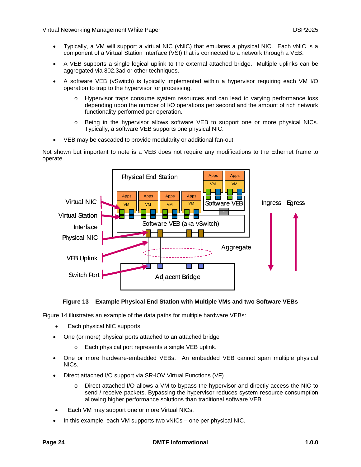- Typically, a VM will support a virtual NIC (vNIC) that emulates a physical NIC. Each vNIC is a component of a Virtual Station Interface (VSI) that is connected to a network through a VEB.
- A VEB supports a single logical uplink to the external attached bridge. Multiple uplinks can be aggregated via 802.3ad or other techniques.
- A software VEB (vSwitch) is typically implemented within a hypervisor requiring each VM I/O operation to trap to the hypervisor for processing.
	- o Hypervisor traps consume system resources and can lead to varying performance loss depending upon the number of I/O operations per second and the amount of rich network functionality performed per operation.
	- o Being in the hypervisor allows software VEB to support one or more physical NICs. Typically, a software VEB supports one physical NIC.
- VEB may be cascaded to provide modularity or additional fan-out.

Not shown but important to note is a VEB does not require any modifications to the Ethernet frame to operate.



#### **Figure 13 – Example Physical End Station with Multiple VMs and two Software VEBs**

<span id="page-23-0"></span>[Figure 14](#page-24-0) illustrates an example of the data paths for multiple hardware VEBs:

- Each physical NIC supports
- One (or more) physical ports attached to an attached bridge
	- o Each physical port represents a single VEB uplink.
- One or more hardware-embedded VEBs. An embedded VEB cannot span multiple physical NICs.
- Direct attached I/O support via SR-IOV Virtual Functions (VF).
	- o Direct attached I/O allows a VM to bypass the hypervisor and directly access the NIC to send / receive packets. Bypassing the hypervisor reduces system resource consumption allowing higher performance solutions than traditional software VEB.
- Each VM may support one or more Virtual NICs.
- In this example, each VM supports two vNICs one per physical NIC.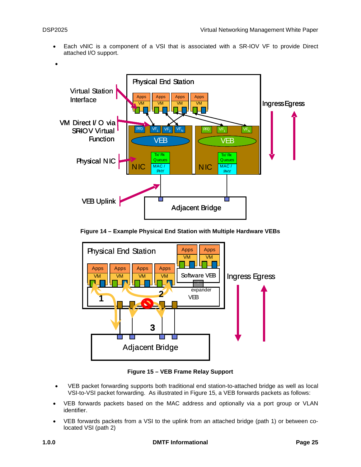• Each vNIC is a component of a VSI that is associated with a SR-IOV VF to provide Direct attached I/O support.



**Figure 14 – Example Physical End Station with Multiple Hardware VEBs**

<span id="page-24-0"></span>

**Figure 15 – VEB Frame Relay Support**

- <span id="page-24-1"></span>• VEB packet forwarding supports both traditional end station-to-attached bridge as well as local VSI-to-VSI packet forwarding. As illustrated in [Figure 15,](#page-24-1) a VEB forwards packets as follows:
- VEB forwards packets based on the MAC address and optionally via a port group or VLAN identifier.
- VEB forwards packets from a VSI to the uplink from an attached bridge (path 1) or between colocated VSI (path 2)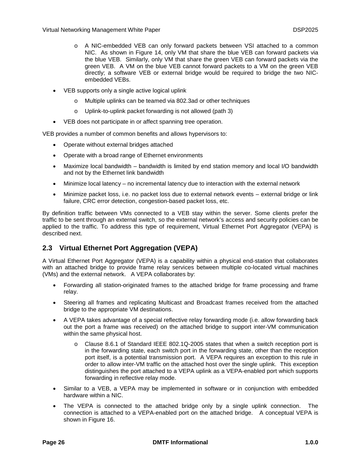- o A NIC-embedded VEB can only forward packets between VSI attached to a common NIC. As shown in [Figure 14,](#page-24-0) only VM that share the blue VEB can forward packets via the blue VEB. Similarly, only VM that share the green VEB can forward packets via the green VEB. A VM on the blue VEB cannot forward packets to a VM on the green VEB directly; a software VEB or external bridge would be required to bridge the two NICembedded VEBs.
- VEB supports only a single active logical uplink
	- o Multiple uplinks can be teamed via 802.3ad or other techniques
	- o Uplink-to-uplink packet forwarding is not allowed (path 3)
- VEB does not participate in or affect spanning tree operation.

VEB provides a number of common benefits and allows hypervisors to:

- Operate without external bridges attached
- Operate with a broad range of Ethernet environments
- Maximize local bandwidth bandwidth is limited by end station memory and local I/O bandwidth and not by the Ethernet link bandwidth
- Minimize local latency no incremental latency due to interaction with the external network
- Minimize packet loss, i.e. no packet loss due to external network events external bridge or link failure, CRC error detection, congestion-based packet loss, etc.

By definition traffic between VMs connected to a VEB stay within the server. Some clients prefer the traffic to be sent through an external switch, so the external network's access and security policies can be applied to the traffic. To address this type of requirement, Virtual Ethernet Port Aggregator (VEPA) is described next.

## <span id="page-25-0"></span>**2.3 Virtual Ethernet Port Aggregation (VEPA)**

A Virtual Ethernet Port Aggregator (VEPA) is a capability within a physical end-station that collaborates with an attached bridge to provide frame relay services between multiple co-located virtual machines (VMs) and the external network. A VEPA collaborates by:

- Forwarding all station-originated frames to the attached bridge for frame processing and frame relay.
- Steering all frames and replicating Multicast and Broadcast frames received from the attached bridge to the appropriate VM destinations.
- A VEPA takes advantage of a special reflective relay forwarding mode (i.e. allow forwarding back out the port a frame was received) on the attached bridge to support inter-VM communication within the same physical host.
	- o Clause 8.6.1 of Standard IEEE 802.1Q-2005 states that when a switch reception port is in the forwarding state, each switch port in the forwarding state, other than the reception port itself, is a potential transmission port. A VEPA requires an exception to this rule in order to allow inter-VM traffic on the attached host over the single uplink. This exception distinguishes the port attached to a VEPA uplink as a VEPA-enabled port which supports forwarding in reflective relay mode.
- Similar to a VEB, a VEPA may be implemented in software or in conjunction with embedded hardware within a NIC.
- The VEPA is connected to the attached bridge only by a single uplink connection. The connection is attached to a VEPA-enabled port on the attached bridge. A conceptual VEPA is shown in [Figure 16.](#page-26-0)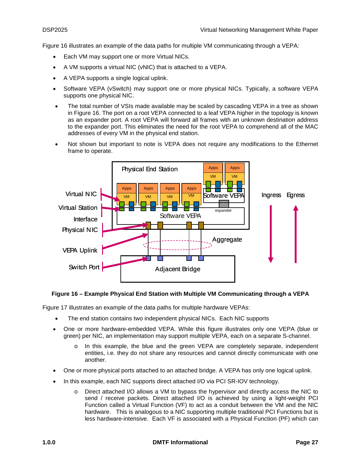[Figure 16](#page-26-0) illustrates an example of the data paths for multiple VM communicating through a VEPA:

- Each VM may support one or more Virtual NICs.
- A VM supports a virtual NIC (vNIC) that is attached to a VEPA.
- A VEPA supports a single logical uplink.
- Software VEPA (vSwitch) may support one or more physical NICs. Typically, a software VEPA supports one physical NIC.
- The total number of VSIs made available may be scaled by cascading VEPA in a tree as shown in [Figure 16.](#page-26-0) The port on a root VEPA connected to a leaf VEPA higher in the topology is known as an expander port. A root VEPA will forward all frames with an unknown destination address to the expander port. This eliminates the need for the root VEPA to comprehend all of the MAC addresses of every VM in the physical end station.
- Not shown but important to note is VEPA does not require any modifications to the Ethernet frame to operate.



#### <span id="page-26-0"></span>**Figure 16 – Example Physical End Station with Multiple VM Communicating through a VEPA**

[Figure 17](#page-27-0) illustrates an example of the data paths for multiple hardware VEPAs:

- The end station contains two independent physical NICs. Each NIC supports
- One or more hardware-embedded VEPA. While this figure illustrates only one VEPA (blue or green) per NIC, an implementation may support multiple VEPA, each on a separate S-channel.
	- o In this example, the blue and the green VEPA are completely separate, independent entities, i.e. they do not share any resources and cannot directly communicate with one another.
- One or more physical ports attached to an attached bridge. A VEPA has only one logical uplink.
- In this example, each NIC supports direct attached I/O via PCI SR-IOV technology.
	- o Direct attached I/O allows a VM to bypass the hypervisor and directly access the NIC to send / receive packets. Direct attached I/O is achieved by using a light-weight PCI Function called a Virtual Function (VF) to act as a conduit between the VM and the NIC hardware. This is analogous to a NIC supporting multiple traditional PCI Functions but is less hardware-intensive. Each VF is associated with a Physical Function (PF) which can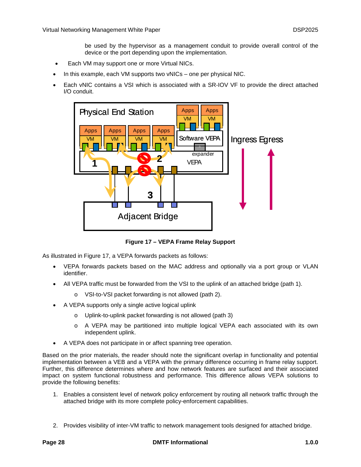be used by the hypervisor as a management conduit to provide overall control of the device or the port depending upon the implementation.

- Each VM may support one or more Virtual NICs.
- In this example, each VM supports two vNICs one per physical NIC.
- Each vNIC contains a VSI which is associated with a SR-IOV VF to provide the direct attached I/O conduit.



**Figure 17 – VEPA Frame Relay Support**

<span id="page-27-0"></span>As illustrated in [Figure 17,](#page-27-0) a VEPA forwards packets as follows:

- VEPA forwards packets based on the MAC address and optionally via a port group or VLAN identifier.
- All VEPA traffic must be forwarded from the VSI to the uplink of an attached bridge (path 1).
	- o VSI-to-VSI packet forwarding is not allowed (path 2).
- A VEPA supports only a single active logical uplink
	- o Uplink-to-uplink packet forwarding is not allowed (path 3)
	- o A VEPA may be partitioned into multiple logical VEPA each associated with its own independent uplink.
- A VEPA does not participate in or affect spanning tree operation.

Based on the prior materials, the reader should note the significant overlap in functionality and potential implementation between a VEB and a VEPA with the primary difference occurring in frame relay support. Further, this difference determines where and how network features are surfaced and their associated impact on system functional robustness and performance. This difference allows VEPA solutions to provide the following benefits:

- 1. Enables a consistent level of network policy enforcement by routing all network traffic through the attached bridge with its more complete policy-enforcement capabilities.
- 2. Provides visibility of inter-VM traffic to network management tools designed for attached bridge.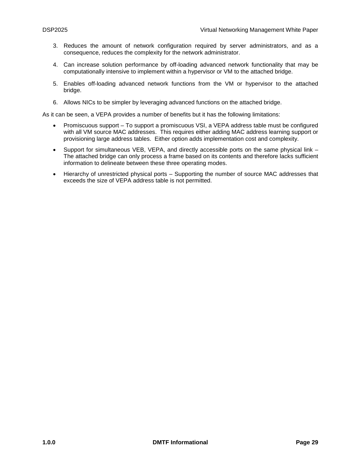- 3. Reduces the amount of network configuration required by server administrators, and as a consequence, reduces the complexity for the network administrator.
- 4. Can increase solution performance by off-loading advanced network functionality that may be computationally intensive to implement within a hypervisor or VM to the attached bridge.
- 5. Enables off-loading advanced network functions from the VM or hypervisor to the attached bridge.
- 6. Allows NICs to be simpler by leveraging advanced functions on the attached bridge.

As it can be seen, a VEPA provides a number of benefits but it has the following limitations:

- Promiscuous support To support a promiscuous VSI, a VEPA address table must be configured with all VM source MAC addresses. This requires either adding MAC address learning support or provisioning large address tables. Either option adds implementation cost and complexity.
- Support for simultaneous VEB, VEPA, and directly accessible ports on the same physical link The attached bridge can only process a frame based on its contents and therefore lacks sufficient information to delineate between these three operating modes.
- <span id="page-28-0"></span>• Hierarchy of unrestricted physical ports – Supporting the number of source MAC addresses that exceeds the size of VEPA address table is not permitted.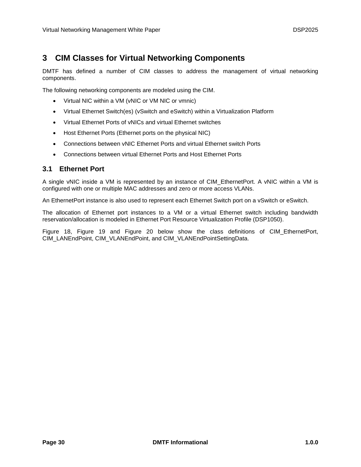# <span id="page-29-0"></span>**3 CIM Classes for Virtual Networking Components**

DMTF has defined a number of CIM classes to address the management of virtual networking components.

The following networking components are modeled using the CIM.

- Virtual NIC within a VM (vNIC or VM NIC or vmnic)
- Virtual Ethernet Switch(es) (vSwitch and eSwitch) within a Virtualization Platform
- Virtual Ethernet Ports of vNICs and virtual Ethernet switches
- Host Ethernet Ports (Ethernet ports on the physical NIC)
- Connections between vNIC Ethernet Ports and virtual Ethernet switch Ports
- Connections between virtual Ethernet Ports and Host Ethernet Ports

## <span id="page-29-1"></span>**3.1 Ethernet Port**

A single vNIC inside a VM is represented by an instance of CIM\_EthernetPort. A vNIC within a VM is configured with one or multiple MAC addresses and zero or more access VLANs.

An EthernetPort instance is also used to represent each Ethernet Switch port on a vSwitch or eSwitch.

The allocation of Ethernet port instances to a VM or a virtual Ethernet switch including bandwidth reservation/allocation is modeled in Ethernet Port Resource Virtualization Profile (DSP1050).

[Figure 18,](#page-30-0) [Figure 19](#page-31-1) and [Figure 20](#page-31-2) below show the class definitions of CIM\_EthernetPort, CIM\_LANEndPoint, CIM\_VLANEndPoint, and CIM\_VLANEndPointSettingData.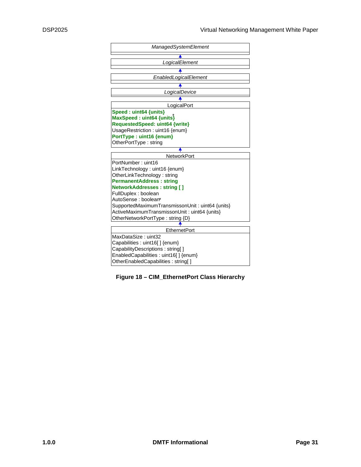

<span id="page-30-0"></span>**Figure 18 – CIM\_EthernetPort Class Hierarchy**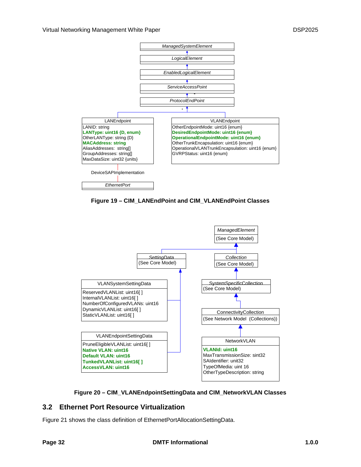

**Figure 19 – CIM\_LANEndPoint and CIM\_VLANEndPoint Classes**

<span id="page-31-1"></span>



## <span id="page-31-2"></span><span id="page-31-0"></span>**3.2 Ethernet Port Resource Virtualization**

[Figure 21](#page-32-0) shows the class definition of EthernetPortAllocationSettingData.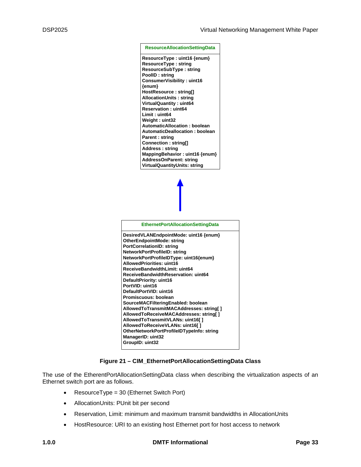

#### **Figure 21 – CIM\_EthernetPortAllocationSettingData Class**

<span id="page-32-0"></span>The use of the EtherentPortAllocationSettingData class when describing the virtualization aspects of an Ethernet switch port are as follows.

- ResourceType = 30 (Ethernet Switch Port)
- AllocationUnits: PUnit bit per second
- Reservation, Limit: minimum and maximum transmit bandwidths in AllocationUnits
- HostResource: URI to an existing host Ethernet port for host access to network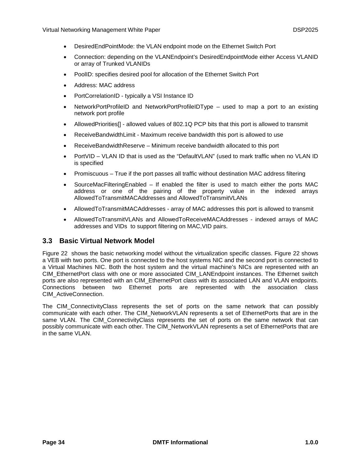- DesiredEndPointMode: the VLAN endpoint mode on the Ethernet Switch Port
- Connection: depending on the VLANEndpoint's DesiredEndpointMode either Access VLANID or array of Trunked VLANIDs
- PoolID: specifies desired pool for allocation of the Ethernet Switch Port
- Address: MAC address
- PortCorrelationID typically a VSI Instance ID
- NetworkPortProfileID and NetworkPortProfileIDType used to map a port to an existing network port profile
- AllowedPriorities[] allowed values of 802.1Q PCP bits that this port is allowed to transmit
- ReceiveBandwidthLimit Maximum receive bandwidth this port is allowed to use
- ReceiveBandwidthReserve Minimum receive bandwidth allocated to this port
- PortVID VLAN ID that is used as the "DefaultVLAN" (used to mark traffic when no VLAN ID is specified
- Promiscuous True if the port passes all traffic without destination MAC address filtering
- SourceMacFilteringEnabled If enabled the filter is used to match either the ports MAC address or one of the pairing of the property value in the indexed arrays AllowedToTransmitMACAddresses and AllowedToTransmitVLANs
- AllowedToTransmitMACAddresses array of MAC addresses this port is allowed to transmit
- AllowedToTransmitVLANs and AllowedToReceiveMACAddresses indexed arrays of MAC addresses and VIDs to support filtering on MAC,VID pairs.

#### <span id="page-33-0"></span>**3.3 Basic Virtual Network Model**

[Figure 22](#page-34-1) shows the basic networking model without the virtualization specific classes. [Figure 22](#page-34-1) shows a VEB with two ports. One port is connected to the host systems NIC and the second port is connected to a Virtual Machines NIC. Both the host system and the virtual machine's NICs are represented with an CIM\_EthernetPort class with one or more associated CIM\_LANEndpoint instances. The Ethernet switch ports are also represented with an CIM\_EthernetPort class with its associated LAN and VLAN endpoints. Connections between two Ethernet ports are represented with the association class CIM\_ActiveConnection.

The CIM\_ConnectivityClass represents the set of ports on the same network that can possibly communicate with each other. The CIM\_NetworkVLAN represents a set of EthernetPorts that are in the same VLAN. The CIM ConnectivityClass represents the set of ports on the same network that can possibly communicate with each other. The CIM\_NetworkVLAN represents a set of EthernetPorts that are in the same VLAN.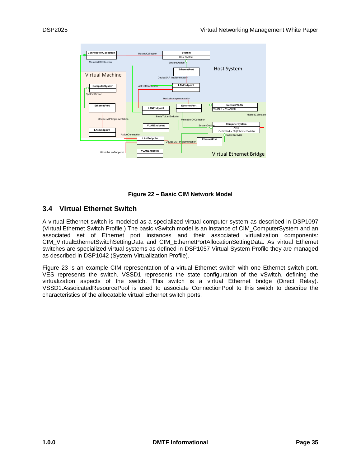

**Figure 22 – Basic CIM Network Model**

## <span id="page-34-1"></span><span id="page-34-0"></span>**3.4 Virtual Ethernet Switch**

A virtual Ethernet switch is modeled as a specialized virtual computer system as described in DSP1097 (Virtual Ethernet Switch Profile.) The basic vSwitch model is an instance of CIM\_ComputerSystem and an associated set of Ethernet port instances and their associated virtualization components: CIM\_VirtualEthernetSwitchSettingData and CIM\_EthernetPortAllocationSettingData. As virtual Ethernet switches are specialized virtual systems as defined in DSP1057 Virtual System Profile they are managed as described in DSP1042 (System Virtualization Profile).

[Figure 23](#page-35-0) is an example CIM representation of a virtual Ethernet switch with one Ethernet switch port. VES represents the switch. VSSD1 represents the state configuration of the vSwitch, defining the virtualization aspects of the switch. This switch is a virtual Ethernet bridge (Direct Relay). VSSD1.AssoicatedResourcePool is used to associate ConnectionPool to this switch to describe the characteristics of the allocatable virtual Ethernet switch ports.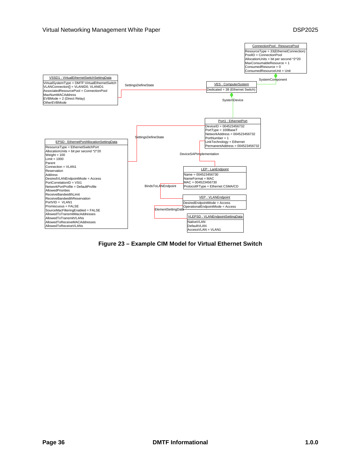#### Virtual Networking Management White Paper **DSP2025 DSP2025**



<span id="page-35-0"></span>**Figure 23 – Example CIM Model for Virtual Ethernet Switch**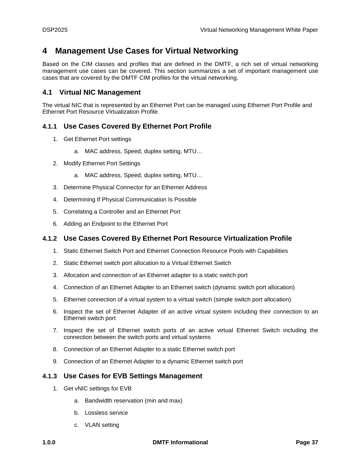# <span id="page-36-0"></span>**4 Management Use Cases for Virtual Networking**

Based on the CIM classes and profiles that are defined in the DMTF, a rich set of virtual networking management use cases can be covered. This section summarizes a set of important management use cases that are covered by the DMTF CIM profiles for the virtual networking.

## <span id="page-36-1"></span>**4.1 Virtual NIC Management**

The virtual NIC that is represented by an Ethernet Port can be managed using Ethernet Port Profile and Ethernet Port Resource Virtualization Profile.

## <span id="page-36-2"></span>**4.1.1 Use Cases Covered By Ethernet Port Profile**

- 1. Get Ethernet Port settings
	- a. MAC address, Speed, duplex setting, MTU…
- 2. Modify Ethernet Port Settings
	- a. MAC address, Speed, duplex setting, MTU…
- 3. Determine Physical Connector for an Ethernet Address
- 4. Determining If Physical Communication Is Possible
- 5. Correlating a Controller and an Ethernet Port
- 6. Adding an Endpoint to the Ethernet Port

## <span id="page-36-3"></span>**4.1.2 Use Cases Covered By Ethernet Port Resource Virtualization Profile**

- 1. Static Ethernet Switch Port and Ethernet Connection Resource Pools with Capabilities
- 2. Static Ethernet switch port allocation to a Virtual Ethernet Switch
- 3. Allocation and connection of an Ethernet adapter to a static switch port
- 4. Connection of an Ethernet Adapter to an Ethernet switch (dynamic switch port allocation)
- 5. Ethernet connection of a virtual system to a virtual switch (simple switch port allocation)
- 6. Inspect the set of Ethernet Adapter of an active virtual system including their connection to an Ethernet switch port
- 7. Inspect the set of Ethernet switch ports of an active virtual Ethernet Switch including the connection between the switch ports and virtual systems
- 8. Connection of an Ethernet Adapter to a static Ethernet switch port
- 9. Connection of an Ethernet Adapter to a dynamic Ethernet switch port

## <span id="page-36-4"></span>**4.1.3 Use Cases for EVB Settings Management**

- 1. Get vNIC settings for EVB
	- a. Bandwidth reservation (min and max)
	- b. Lossless service
	- c. VLAN setting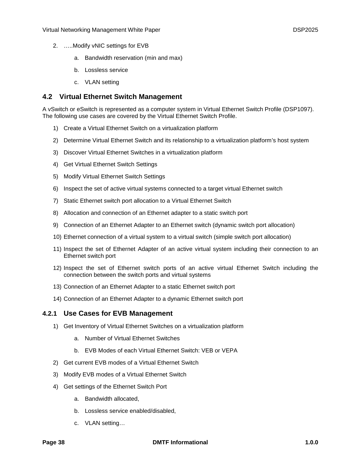- 2. …..Modify vNIC settings for EVB
	- a. Bandwidth reservation (min and max)
	- b. Lossless service
	- c. VLAN setting

## <span id="page-37-0"></span>**4.2 Virtual Ethernet Switch Management**

A vSwitch or eSwitch is represented as a computer system in Virtual Ethernet Switch Profile (DSP1097). The following use cases are covered by the Virtual Ethernet Switch Profile.

- 1) Create a Virtual Ethernet Switch on a virtualization platform
- 2) Determine Virtual Ethernet Switch and its relationship to a virtualization platform's host system
- 3) Discover Virtual Ethernet Switches in a virtualization platform
- 4) Get Virtual Ethernet Switch Settings
- 5) Modify Virtual Ethernet Switch Settings
- 6) Inspect the set of active virtual systems connected to a target virtual Ethernet switch
- 7) Static Ethernet switch port allocation to a Virtual Ethernet Switch
- 8) Allocation and connection of an Ethernet adapter to a static switch port
- 9) Connection of an Ethernet Adapter to an Ethernet switch (dynamic switch port allocation)
- 10) Ethernet connection of a virtual system to a virtual switch (simple switch port allocation)
- 11) Inspect the set of Ethernet Adapter of an active virtual system including their connection to an Ethernet switch port
- 12) Inspect the set of Ethernet switch ports of an active virtual Ethernet Switch including the connection between the switch ports and virtual systems
- 13) Connection of an Ethernet Adapter to a static Ethernet switch port
- 14) Connection of an Ethernet Adapter to a dynamic Ethernet switch port

#### <span id="page-37-1"></span>**4.2.1 Use Cases for EVB Management**

- 1) Get Inventory of Virtual Ethernet Switches on a virtualization platform
	- a. Number of Virtual Ethernet Switches
	- b. EVB Modes of each Virtual Ethernet Switch: VEB or VEPA
- 2) Get current EVB modes of a Virtual Ethernet Switch
- 3) Modify EVB modes of a Virtual Ethernet Switch
- 4) Get settings of the Ethernet Switch Port
	- a. Bandwidth allocated,
	- b. Lossless service enabled/disabled,
	- c. VLAN setting…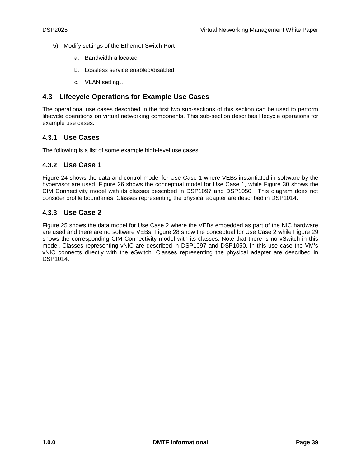- 5) Modify settings of the Ethernet Switch Port
	- a. Bandwidth allocated
	- b. Lossless service enabled/disabled
	- c. VLAN setting…

## <span id="page-38-0"></span>**4.3 Lifecycle Operations for Example Use Cases**

The operational use cases described in the first two sub-sections of this section can be used to perform lifecycle operations on virtual networking components. This sub-section describes lifecycle operations for example use cases.

## <span id="page-38-1"></span>**4.3.1 Use Cases**

<span id="page-38-2"></span>The following is a list of some example high-level use cases:

## **4.3.2 Use Case 1**

[Figure 24](#page-39-0) shows the data and control model for Use Case 1 where VEBs instantiated in software by the hypervisor are used. [Figure 26](#page-41-0) shows the conceptual model for Use Case 1, while [Figure 30](#page-42-0) shows the CIM Connectivity model with its classes described in DSP1097 and DSP1050. This diagram does not consider profile boundaries. Classes representing the physical adapter are described in DSP1014.

## <span id="page-38-3"></span>**4.3.3 Use Case 2**

[Figure 25](#page-40-0) shows the data model for Use Case 2 where the VEBs embedded as part of the NIC hardware are used and there are no software VEBs. [Figure 28](#page-43-0) show the conceptual for Use Case 2 while [Figure 29](#page-44-1) shows the corresponding CIM Connectivity model with its classes. Note that there is no vSwitch in this model. Classes representing vNIC are described in DSP1097 and DSP1050. In this use case the VM's vNIC connects directly with the eSwitch. Classes representing the physical adapter are described in DSP1014.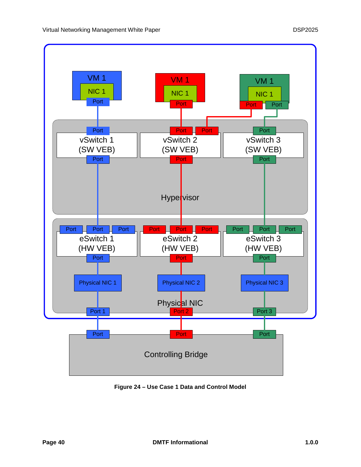

<span id="page-39-0"></span>**Figure 24 – Use Case 1 Data and Control Model**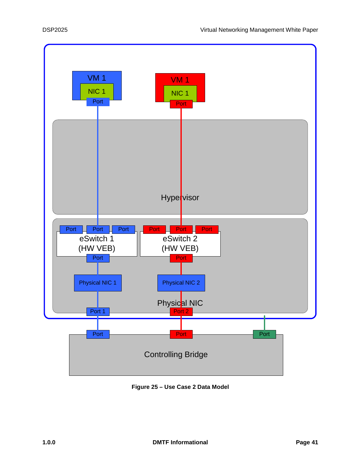

<span id="page-40-0"></span>**Figure 25 – Use Case 2 Data Model**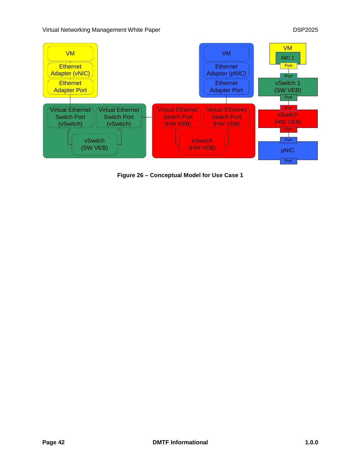

<span id="page-41-0"></span>**Figure 26 – Conceptual Model for Use Case 1**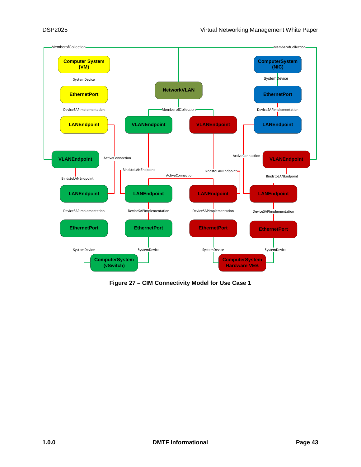

<span id="page-42-0"></span>**Figure 27 – CIM Connectivity Model for Use Case 1**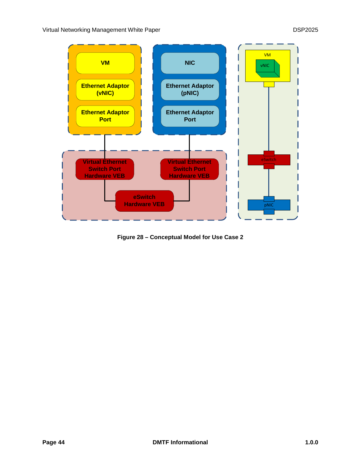

<span id="page-43-0"></span>**Figure 28 – Conceptual Model for Use Case 2**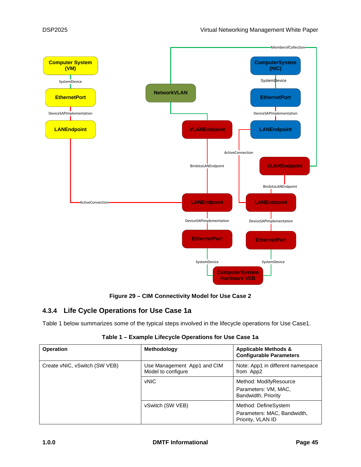

## **Figure 29 – CIM Connectivity Model for Use Case 2**

## <span id="page-44-1"></span><span id="page-44-0"></span>**4.3.4 Life Cycle Operations for Use Case 1a**

<span id="page-44-2"></span>[Table 1](#page-44-2) below summarizes some of the typical steps involved in the lifecycle operations for Use Case1.

| <b>Operation</b>              | <b>Methodology</b>                                | <b>Applicable Methods &amp;</b><br><b>Configurable Parameters</b>        |
|-------------------------------|---------------------------------------------------|--------------------------------------------------------------------------|
| Create vNIC, vSwitch (SW VEB) | Use Management App1 and CIM<br>Model to configure | Note: App1 in different namespace<br>from App2                           |
|                               | <b>vNIC</b>                                       | Method: ModifyResource<br>Parameters: VM, MAC,<br>Bandwidth, Priority    |
|                               | vSwitch (SW VEB)                                  | Method: DefineSystem<br>Parameters: MAC, Bandwidth,<br>Priority, VLAN ID |

**Table 1 – Example Lifecycle Operations for Use Case 1a**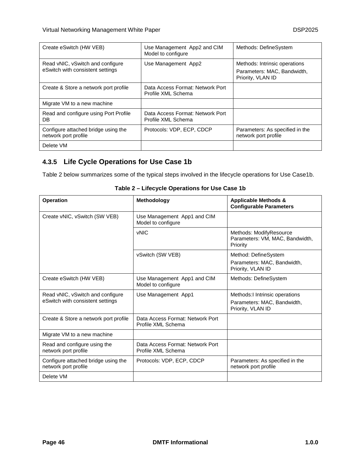| Create eSwitch (HW VEB)                                              | Use Management App2 and CIM<br>Model to configure      | Methods: DefineSystem                                                             |
|----------------------------------------------------------------------|--------------------------------------------------------|-----------------------------------------------------------------------------------|
| Read vNIC, vSwitch and configure<br>eSwitch with consistent settings | Use Management App2                                    | Methods: Intrinsic operations<br>Parameters: MAC, Bandwidth,<br>Priority, VLAN ID |
| Create & Store a network port profile                                | Data Access Format: Network Port<br>Profile XML Schema |                                                                                   |
| Migrate VM to a new machine                                          |                                                        |                                                                                   |
| Read and configure using Port Profile<br>DB.                         | Data Access Format: Network Port<br>Profile XML Schema |                                                                                   |
| Configure attached bridge using the<br>network port profile          | Protocols: VDP, ECP, CDCP                              | Parameters: As specified in the<br>network port profile                           |
| Delete VM                                                            |                                                        |                                                                                   |

## <span id="page-45-0"></span>**4.3.5 Life Cycle Operations for Use Case 1b**

<span id="page-45-1"></span>[Table 2](#page-45-1) below summarizes some of the typical steps involved in the lifecycle operations for Use Case1b.

| <b>Operation</b>                                                     | <b>Methodology</b>                                     | <b>Applicable Methods &amp;</b><br><b>Configurable Parameters</b>                   |
|----------------------------------------------------------------------|--------------------------------------------------------|-------------------------------------------------------------------------------------|
| Create vNIC, vSwitch (SW VEB)                                        | Use Management App1 and CIM<br>Model to configure      |                                                                                     |
|                                                                      | <b>vNIC</b>                                            | Methods: ModifyResource<br>Parameters: VM, MAC, Bandwidth,<br>Priority              |
|                                                                      | vSwitch (SW VEB)                                       | Method: DefineSystem<br>Parameters: MAC, Bandwidth,<br>Priority, VLAN ID            |
| Create eSwitch (HW VEB)                                              | Use Management App1 and CIM<br>Model to configure      | Methods: DefineSystem                                                               |
| Read vNIC, vSwitch and configure<br>eSwitch with consistent settings | Use Management App1                                    | Methods: I Intrinsic operations<br>Parameters: MAC, Bandwidth,<br>Priority, VLAN ID |
| Create & Store a network port profile                                | Data Access Format: Network Port<br>Profile XML Schema |                                                                                     |
| Migrate VM to a new machine                                          |                                                        |                                                                                     |
| Read and configure using the<br>network port profile                 | Data Access Format: Network Port<br>Profile XML Schema |                                                                                     |
| Configure attached bridge using the<br>network port profile          | Protocols: VDP, ECP, CDCP                              | Parameters: As specified in the<br>network port profile                             |
| Delete VM                                                            |                                                        |                                                                                     |

**Table 2 – Lifecycle Operations for Use Case 1b**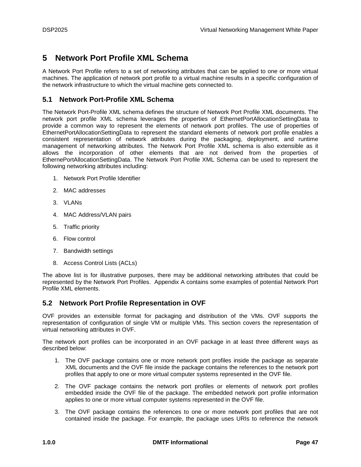# <span id="page-46-0"></span>**5 Network Port Profile XML Schema**

A Network Port Profile refers to a set of networking attributes that can be applied to one or more virtual machines. The application of network port profile to a virtual machine results in a specific configuration of the network infrastructure to which the virtual machine gets connected to.

## <span id="page-46-1"></span>**5.1 Network Port-Profile XML Schema**

The Network Port-Profile XML schema defines the structure of Network Port Profile XML documents. The network port profile XML schema leverages the properties of EthernetPortAllocationSettingData to provide a common way to represent the elements of network port profiles. The use of properties of EthernetPortAllocationSettingData to represent the standard elements of network port profile enables a consistent representation of network attributes during the packaging, deployment, and runtime management of networking attributes. The Network Port Profile XML schema is also extensible as it allows the incorporation of other elements that are not derived from the properties of EthernePortAllocationSettingData. The Network Port Profile XML Schema can be used to represent the following networking attributes including:

- 1. Network Port Profile Identifier
- 2. MAC addresses
- 3. VLANs
- 4. MAC Address/VLAN pairs
- 5. Traffic priority
- 6. Flow control
- 7. Bandwidth settings
- 8. Access Control Lists (ACLs)

The above list is for illustrative purposes, there may be additional networking attributes that could be represented by the Network Port Profiles. Appendix A contains some examples of potential Network Port Profile XML elements.

## <span id="page-46-2"></span>**5.2 Network Port Profile Representation in OVF**

OVF provides an extensible format for packaging and distribution of the VMs. OVF supports the representation of configuration of single VM or multiple VMs. This section covers the representation of virtual networking attributes in OVF.

The network port profiles can be incorporated in an OVF package in at least three different ways as described below:

- 1. The OVF package contains one or more network port profiles inside the package as separate XML documents and the OVF file inside the package contains the references to the network port profiles that apply to one or more virtual computer systems represented in the OVF file.
- 2. The OVF package contains the network port profiles or elements of network port profiles embedded inside the OVF file of the package. The embedded network port profile information applies to one or more virtual computer systems represented in the OVF file.
- 3. The OVF package contains the references to one or more network port profiles that are not contained inside the package. For example, the package uses URIs to reference the network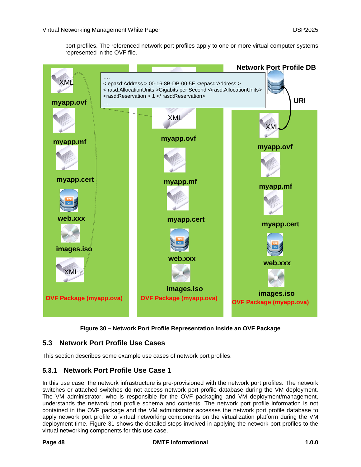port profiles. The referenced network port profiles apply to one or more virtual computer systems represented in the OVF file.



**Figure 30 – Network Port Profile Representation inside an OVF Package**

## <span id="page-47-2"></span><span id="page-47-0"></span>**5.3 Network Port Profile Use Cases**

<span id="page-47-1"></span>This section describes some example use cases of network port profiles.

## **5.3.1 Network Port Profile Use Case 1**

In this use case, the network infrastructure is pre-provisioned with the network port profiles. The network switches or attached switches do not access network port profile database during the VM deployment. The VM administrator, who is responsible for the OVF packaging and VM deployment/management, understands the network port profile schema and contents. The network port profile information is not contained in the OVF package and the VM administrator accesses the network port profile database to apply network port profile to virtual networking components on the virtualization platform during the VM deployment time. [Figure 31](#page-48-2) shows the detailed steps involved in applying the network port profiles to the virtual networking components for this use case.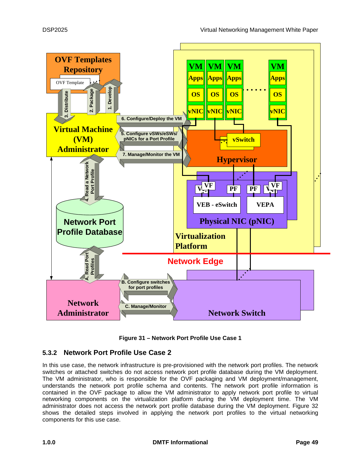

**Figure 31 – Network Port Profile Use Case 1**

## <span id="page-48-2"></span><span id="page-48-1"></span><span id="page-48-0"></span>**5.3.2 Network Port Profile Use Case 2**

In this use case, the network infrastructure is pre-provisioned with the network port profiles. The network switches or attached switches do not access network port profile database during the VM deployment. The VM administrator, who is responsible for the OVF packaging and VM deployment/management, understands the network port profile schema and contents. The network port profile information is contained in the OVF package to allow the VM administrator to apply network port profile to virtual networking components on the virtualization platform during the VM deployment time. The VM administrator does not access the network port profile database during the VM deployment. [Figure 32](#page-49-2) shows the detailed steps involved in applying the network port profiles to the virtual networking components for this use case.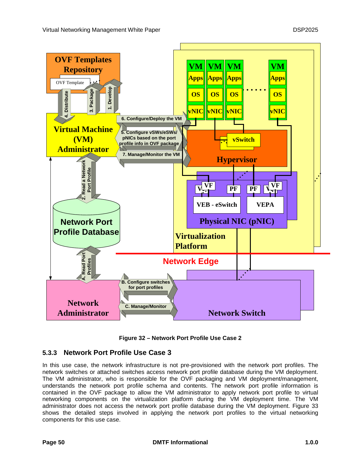

**Figure 32 – Network Port Profile Use Case 2**

## <span id="page-49-2"></span><span id="page-49-1"></span><span id="page-49-0"></span>**5.3.3 Network Port Profile Use Case 3**

In this use case, the network infrastructure is not pre-provisioned with the network port profiles. The network switches or attached switches access network port profile database during the VM deployment. The VM administrator, who is responsible for the OVF packaging and VM deployment/management, understands the network port profile schema and contents. The network port profile information is contained in the OVF package to allow the VM administrator to apply network port profile to virtual networking components on the virtualization platform during the VM deployment time. The VM administrator does not access the network port profile database during the VM deployment. [Figure 33](#page-50-1) shows the detailed steps involved in applying the network port profiles to the virtual networking components for this use case.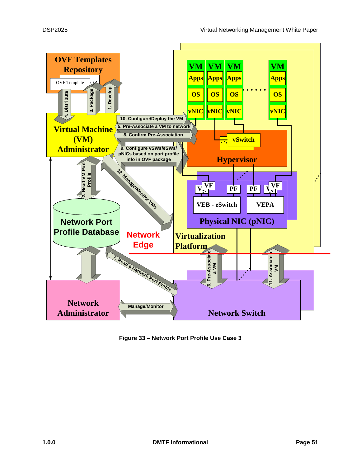

<span id="page-50-1"></span><span id="page-50-0"></span>**Figure 33 – Network Port Profile Use Case 3**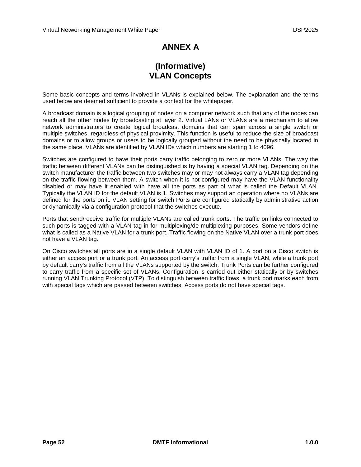# **ANNEX A**

# **(Informative) VLAN Concepts**

<span id="page-51-0"></span>Some basic concepts and terms involved in VLANs is explained below. The explanation and the terms used below are deemed sufficient to provide a context for the whitepaper.

A broadcast domain is a logical grouping of nodes on a computer network such that any of the nodes can reach all the other nodes by broadcasting at layer 2. Virtual LANs or VLANs are a mechanism to allow network administrators to create logical broadcast domains that can span across a single switch or multiple switches, regardless of physical proximity. This function is useful to reduce the size of broadcast domains or to allow groups or users to be logically grouped without the need to be physically located in the same place. VLANs are identified by VLAN IDs which numbers are starting 1 to 4096.

Switches are configured to have their ports carry traffic belonging to zero or more VLANs. The way the traffic between different VLANs can be distinguished is by having a special VLAN tag. Depending on the switch manufacturer the traffic between two switches may or may not always carry a VLAN tag depending on the traffic flowing between them. A switch when it is not configured may have the VLAN functionality disabled or may have it enabled with have all the ports as part of what is called the Default VLAN. Typically the VLAN ID for the default VLAN is 1. Switches may support an operation where no VLANs are defined for the ports on it. VLAN setting for switch Ports are configured statically by administrative action or dynamically via a configuration protocol that the switches execute.

Ports that send/receive traffic for multiple VLANs are called trunk ports. The traffic on links connected to such ports is tagged with a VLAN tag in for multiplexing/de-multiplexing purposes. Some vendors define what is called as a Native VLAN for a trunk port. Traffic flowing on the Native VLAN over a trunk port does not have a VLAN tag.

On Cisco switches all ports are in a single default VLAN with VLAN ID of 1. A port on a Cisco switch is either an access port or a trunk port. An access port carry's traffic from a single VLAN, while a trunk port by default carry's traffic from all the VLANs supported by the switch. Trunk Ports can be further configured to carry traffic from a specific set of VLANs. Configuration is carried out either statically or by switches running VLAN Trunking Protocol (VTP). To distinguish between traffic flows, a trunk port marks each from with special tags which are passed between switches. Access ports do not have special tags.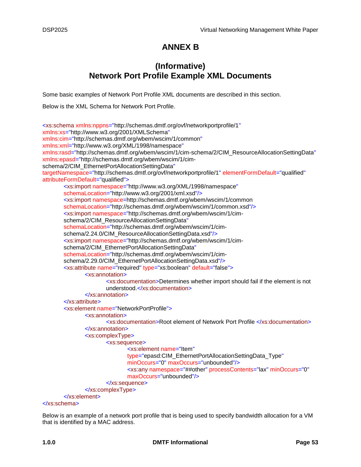# **ANNEX B**

# **(Informative) Network Port Profile Example XML Documents**

<span id="page-52-0"></span>Some basic examples of Network Port Profile XML documents are described in this section.

Below is the XML Schema for Network Port Profile.

<xs:schema xmlns:nppns="http://schemas.dmtf.org/ovf/networkportprofile/1" xmlns:xs="http://www.w3.org/2001/XMLSchema" xmlns:cim="http://schemas.dmtf.org/wbem/wscim/1/common" xmlns:xml="http://www.w3.org/XML/1998/namespace" xmlns:rasd="http://schemas.dmtf.org/wbem/wscim/1/cim-schema/2/CIM\_ResourceAllocationSettingData" xmlns:epasd="http://schemas.dmtf.org/wbem/wscim/1/cimschema/2/CIM\_EthernetPortAllocationSettingData" targetNamespace="http://schemas.dmtf.org/ovf/networkportprofile/1" elementFormDefault="qualified" attributeFormDefault="qualified"> <xs:import namespace="http://www.w3.org/XML/1998/namespace" schemaLocation="http://www.w3.org/2001/xml.xsd"/> <xs:import namespace=http://schemas.dmtf.org/wbem/wscim/1/common schemaLocation="http://schemas.dmtf.org/wbem/wscim/1/common.xsd"/> <xs:import namespace="http://schemas.dmtf.org/wbem/wscim/1/cimschema/2/CIM\_ResourceAllocationSettingData" schemaLocation="http://schemas.dmtf.org/wbem/wscim/1/cimschema/2.24.0/CIM\_ResourceAllocationSettingData.xsd"/> <xs:import namespace="http://schemas.dmtf.org/wbem/wscim/1/cimschema/2/CIM\_EthernetPortAllocationSettingData" schemaLocation="http://schemas.dmtf.org/wbem/wscim/1/cimschema/2.29.0/CIM\_EthernetPortAllocationSettingData.xsd"/> <xs:attribute name="required" type="xs:boolean" default="false"> <xs:annotation> <xs:documentation>Determines whether import should fail if the element is not understood.</xs:documentation> </xs:annotation> </xs:attribute> <xs:element name="NetworkPortProfile"> <xs:annotation> <xs:documentation>Root element of Network Port Profile </xs:documentation> </xs:annotation> <xs:complexType> <xs:sequence> <xs:element name="Item" type="epasd:CIM\_EthernetPortAllocationSettingData\_Type" minOccurs="0" maxOccurs="unbounded"/> <xs:any namespace="##other" processContents="lax" minOccurs="0" maxOccurs="unbounded"/> </xs:sequence> </xs:complexType> </xs:element>

#### </xs:schema>

Below is an example of a network port profile that is being used to specify bandwidth allocation for a VM that is identified by a MAC address.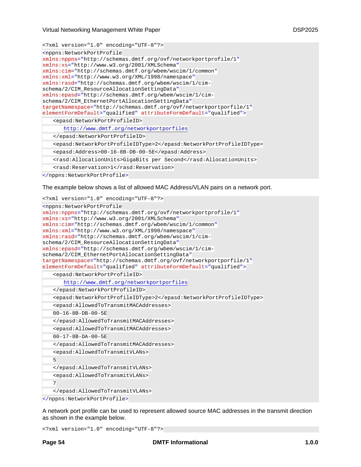<?xml version="1.0" encoding="UTF-8"?>

| <nppns:networkportprofile< td=""></nppns:networkportprofile<>      |
|--------------------------------------------------------------------|
| xmlns:nppns="http://schemas.dmtf.org/ovf/networkportprofile/1"     |
| xmlns:xs="http://www.w3.org/2001/XMLSchema"                        |
| xmlns:cim="http://schemas.dmtf.org/wbem/wscim/1/common"            |
| xmlns:xml="http://www.w3.org/XML/1998/namespace"                   |
| xmlns:rasd="http://schemas.dmtf.org/wbem/wscim/1/cim-              |
| schema/2/CIM ResourceAllocationSettingData"                        |
| xmlns:epasd="http://schemas.dmtf.org/wbem/wscim/1/cim-             |
| schema/2/CIM EthernetPortAllocationSettingData"                    |
| targetNamespace="http://schemas.dmtf.org/ovf/networkportporfile/1" |
| elementFormDefault="qualified" attributeFormDefault="qualified">   |
| <epasd:networkportprofileid></epasd:networkportprofileid>          |
| http://www.dmtf.org/networkportporfiles                            |
|                                                                    |
| <epasd:networkportprofileidtype>2</epasd:networkportprofileidtype> |
| <epasd:address>00-16-8B-DB-00-5E</epasd:address>                   |
| <rasd:allocationunits>GigaBits per Second</rasd:allocationunits>   |
| <rasd:reservation>1</rasd:reservation>                             |
|                                                                    |

The example below shows a list of allowed MAC Address/VLAN pairs on a network port.

```
<?xml version="1.0" encoding="UTF-8"?>
<nppns:NetworkPortProfile
xmlns:nppns="http://schemas.dmtf.org/ovf/networkportprofile/1"
xmlns:xs="http://www.w3.org/2001/XMLSchema"
xmlns:cim="http://schemas.dmtf.org/wbem/wscim/1/common"
xmlns:xml="http://www.w3.org/XML/1998/namespace"
xmlns:rasd="http://schemas.dmtf.org/wbem/wscim/1/cim-
schema/2/CIM_ResourceAllocationSettingData"
xmlns:epasd="http://schemas.dmtf.org/wbem/wscim/1/cim-
schema/2/CIM_EthernetPortAllocationSettingData"
targetNamespace="http://schemas.dmtf.org/ovf/networkportporfile/1"
elementFormDefault="qualified" attributeFormDefault="qualified">
   <epasd:NetworkPortProfileID>
      http://www.dmtf.org/networkportporfiles
   </epasd:NetworkPortProfileID>
   <epasd:NetworkPortProfileIDType>2</epasd:NetworkPortProfileIDType>
   <epasd:AllowedToTransmitMACAddresses>
   00-16-8B-DB-00-5E
   </epasd:AllowedToTransmitMACAddresses>
   <epasd:AllowedToTransmitMACAddresses>
   00-17-8B-DA-00-5E
   </epasd:AllowedToTransmitMACAddresses>
   <epasd:AllowedToTransmitVLANs>
   5
   </epasd:AllowedToTransmitVLANs>
   <epasd:AllowedToTransmitVLANs>
   7
   </epasd:AllowedToTransmitVLANs>
</nppns:NetworkPortProfile>
```
A network port profile can be used to represent allowed source MAC addresses in the transmit direction as shown in the example below.

<?xml version="1.0" encoding="UTF-8"?>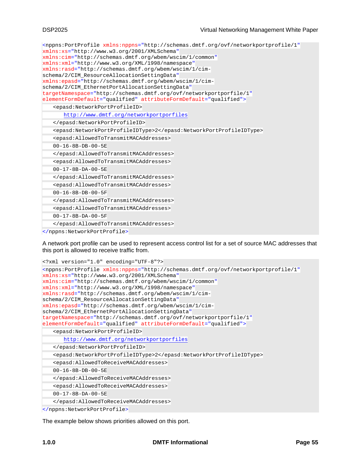<nppns:PortProfile xmlns:nppns="http://schemas.dmtf.org/ovf/networkportprofile/1" xmlns:xs="http://www.w3.org/2001/XMLSchema" xmlns:cim="http://schemas.dmtf.org/wbem/wscim/1/common" xmlns:xml="http://www.w3.org/XML/1998/namespace" xmlns:rasd="http://schemas.dmtf.org/wbem/wscim/1/cimschema/2/CIM\_ResourceAllocationSettingData" xmlns:epasd="http://schemas.dmtf.org/wbem/wscim/1/cimschema/2/CIM\_EthernetPortAllocationSettingData" targetNamespace="http://schemas.dmtf.org/ovf/networkportporfile/1" elementFormDefault="qualified" attributeFormDefault="qualified"> <epasd:NetworkPortProfileID> <http://www.dmtf.org/networkportporfiles> </epasd:NetworkPortProfileID> <epasd:NetworkPortProfileIDType>2</epasd:NetworkPortProfileIDType> <epasd:AllowedToTransmitMACAddresses> 00-16-8B-DB-00-5E </epasd:AllowedToTransmitMACAddresses> <epasd:AllowedToTransmitMACAddresses> 00-17-8B-DA-00-5E </epasd:AllowedToTransmitMACAddresses> <epasd:AllowedToTransmitMACAddresses> 00-16-8B-DB-00-5F </epasd:AllowedToTransmitMACAddresses> <epasd:AllowedToTransmitMACAddresses> 00-17-8B-DA-00-5F </epasd:AllowedToTransmitMACAddresses> </nppns:NetworkPortProfile>

A network port profile can be used to represent access control list for a set of source MAC addresses that this port is allowed to receive traffic from.

```
<?xml version="1.0" encoding="UTF-8"?>
<nppns:PortProfile xmlns:nppns="http://schemas.dmtf.org/ovf/networkportprofile/1"
xmlns:xs="http://www.w3.org/2001/XMLSchema"
xmlns:cim="http://schemas.dmtf.org/wbem/wscim/1/common"
xmlns:xml="http://www.w3.org/XML/1998/namespace"
xmlns:rasd="http://schemas.dmtf.org/wbem/wscim/1/cim-
schema/2/CIM_ResourceAllocationSettingData"
xmlns:epasd="http://schemas.dmtf.org/wbem/wscim/1/cim-
schema/2/CIM_EthernetPortAllocationSettingData"
targetNamespace="http://schemas.dmtf.org/ovf/networkportporfile/1"
elementFormDefault="qualified" attributeFormDefault="qualified">
   <epasd:NetworkPortProfileID>
      http://www.dmtf.org/networkportporfiles
   </epasd:NetworkPortProfileID>
   <epasd:NetworkPortProfileIDType>2</epasd:NetworkPortProfileIDType>
   <epasd:AllowedToReceiveMACAddresses>
   00-16-8B-DB-00-5E
   </epasd:AllowedToReceiveMACAddresses>
   <epasd:AllowedToReceiveMACAddresses>
   00-17-8B-DA-00-5E
   </epasd:AllowedToReceiveMACAddresses>
```

```
</nppns:NetworkPortProfile>
```
The example below shows priorities allowed on this port.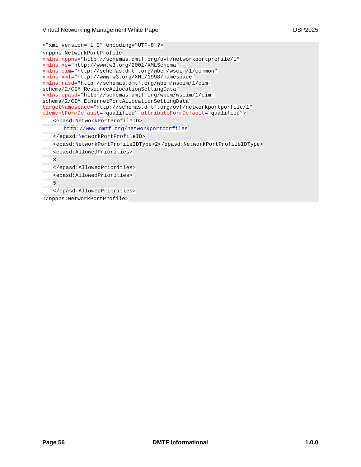<?xml version="1.0" encoding="UTF-8"?>

```
<nppns:NetworkPortProfile
xmlns:nppns="http://schemas.dmtf.org/ovf/networkportprofile/1"
xmlns:xs="http://www.w3.org/2001/XMLSchema"
xmlns:cim="http://schemas.dmtf.org/wbem/wscim/1/common"
xmlns:xml="http://www.w3.org/XML/1998/namespace"
xmlns:rasd="http://schemas.dmtf.org/wbem/wscim/1/cim-
schema/2/CIM_ResourceAllocationSettingData"
xmlns:epasd="http://schemas.dmtf.org/wbem/wscim/1/cim-
schema/2/CIM_EthernetPortAllocationSettingData"
targetNamespace="http://schemas.dmtf.org/ovf/networkportporfile/1"
elementFormDefault="qualified" attributeFormDefault="qualified">
   <epasd:NetworkPortProfileID>
      http://www.dmtf.org/networkportporfiles
   </epasd:NetworkPortProfileID>
   <epasd:NetworkPortProfileIDType>2</epasd:NetworkPortProfileIDType>
   <epasd:AllowedPriorities>
   3
   </epasd:AllowedPriorities>
   <epasd:AllowedPriorities>
   5
   </epasd:AllowedPriorities>
</nppns:NetworkPortProfile>
```